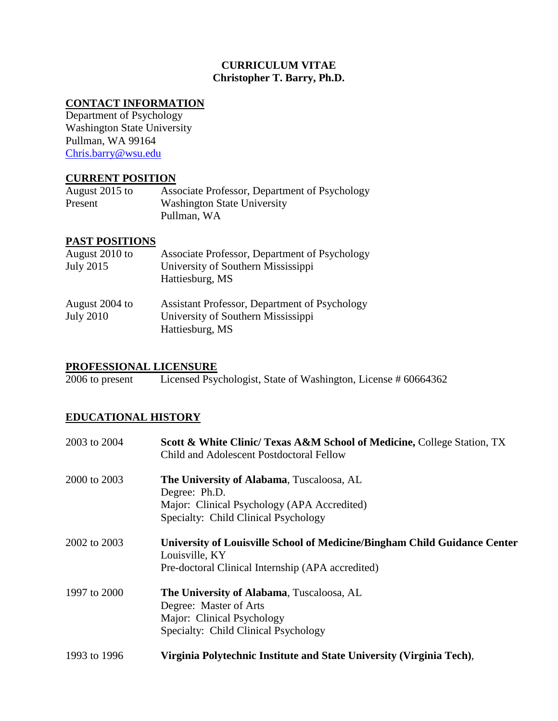# **CURRICULUM VITAE Christopher T. Barry, Ph.D.**

# **CONTACT INFORMATION**

Department of Psychology Washington State University Pullman, WA 99164 [Chris.barry@wsu.edu](mailto:Chris.barry@wsu.edu)

# **CURRENT POSITION**

| August 2015 to | Associate Professor, Department of Psychology |
|----------------|-----------------------------------------------|
| Present        | <b>Washington State University</b>            |
|                | Pullman, WA                                   |

# **PAST POSITIONS**

| August 2010 to<br><b>July 2015</b> | Associate Professor, Department of Psychology<br>University of Southern Mississippi<br>Hattiesburg, MS |
|------------------------------------|--------------------------------------------------------------------------------------------------------|
| August 2004 to<br><b>July 2010</b> | Assistant Professor, Department of Psychology<br>University of Southern Mississippi<br>Hattiesburg, MS |

**PROFESSIONAL LICENSURE**<br>2006 to present Licensed Psy Licensed Psychologist, State of Washington, License # 60664362

# **EDUCATIONAL HISTORY**

| 2003 to 2004 | <b>Scott &amp; White Clinic/ Texas A&amp;M School of Medicine, College Station, TX</b><br>Child and Adolescent Postdoctoral Fellow                |
|--------------|---------------------------------------------------------------------------------------------------------------------------------------------------|
| 2000 to 2003 | The University of Alabama, Tuscaloosa, AL<br>Degree: Ph.D.<br>Major: Clinical Psychology (APA Accredited)<br>Specialty: Child Clinical Psychology |
| 2002 to 2003 | University of Louisville School of Medicine/Bingham Child Guidance Center<br>Louisville, KY<br>Pre-doctoral Clinical Internship (APA accredited)  |
| 1997 to 2000 | The University of Alabama, Tuscaloosa, AL<br>Degree: Master of Arts<br>Major: Clinical Psychology<br>Specialty: Child Clinical Psychology         |
| 1993 to 1996 | Virginia Polytechnic Institute and State University (Virginia Tech),                                                                              |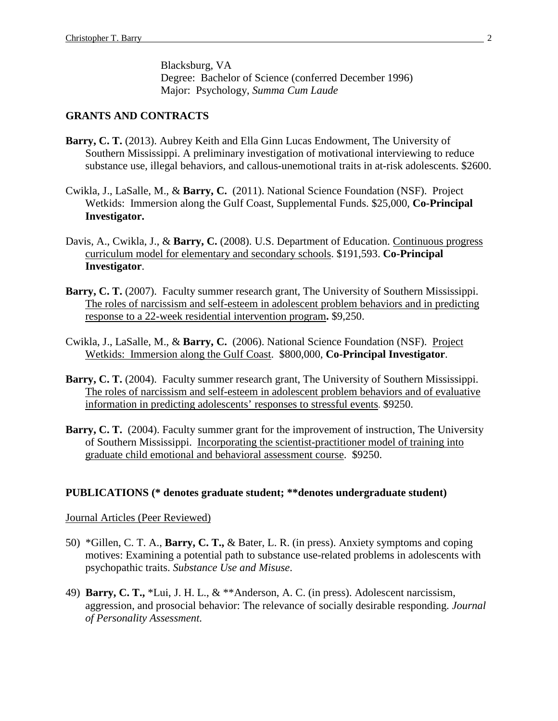Blacksburg, VA Degree: Bachelor of Science (conferred December 1996) Major: Psychology, *Summa Cum Laude*

#### **GRANTS AND CONTRACTS**

- Barry, C. T. (2013). Aubrey Keith and Ella Ginn Lucas Endowment, The University of Southern Mississippi. A preliminary investigation of motivational interviewing to reduce substance use, illegal behaviors, and callous-unemotional traits in at-risk adolescents. \$2600.
- Cwikla, J., LaSalle, M., & **Barry, C.** (2011). National Science Foundation (NSF). Project Wetkids: Immersion along the Gulf Coast, Supplemental Funds. \$25,000, **Co-Principal Investigator.**
- Davis, A., Cwikla, J., & **Barry, C.** (2008). U.S. Department of Education. Continuous progress curriculum model for elementary and secondary schools. \$191,593. **Co-Principal Investigator**.
- Barry, C. T. (2007). Faculty summer research grant, The University of Southern Mississippi. The roles of narcissism and self-esteem in adolescent problem behaviors and in predicting response to a 22-week residential intervention program**.** \$9,250.
- Cwikla, J., LaSalle, M., & **Barry, C.** (2006). National Science Foundation (NSF). Project Wetkids: Immersion along the Gulf Coast. \$800,000, **Co-Principal Investigator**.
- Barry, C. T. (2004). Faculty summer research grant, The University of Southern Mississippi. The roles of narcissism and self-esteem in adolescent problem behaviors and of evaluative information in predicting adolescents' responses to stressful events. \$9250.
- **Barry, C. T.** (2004). Faculty summer grant for the improvement of instruction, The University of Southern Mississippi. Incorporating the scientist-practitioner model of training into graduate child emotional and behavioral assessment course. \$9250.

## **PUBLICATIONS (\* denotes graduate student; \*\*denotes undergraduate student)**

#### Journal Articles (Peer Reviewed)

- 50) \*Gillen, C. T. A., **Barry, C. T.,** & Bater, L. R. (in press). Anxiety symptoms and coping motives: Examining a potential path to substance use-related problems in adolescents with psychopathic traits. *Substance Use and Misuse*.
- 49) **Barry, C. T.,** \*Lui, J. H. L., & \*\*Anderson, A. C. (in press). Adolescent narcissism, aggression, and prosocial behavior: The relevance of socially desirable responding. *Journal of Personality Assessment.*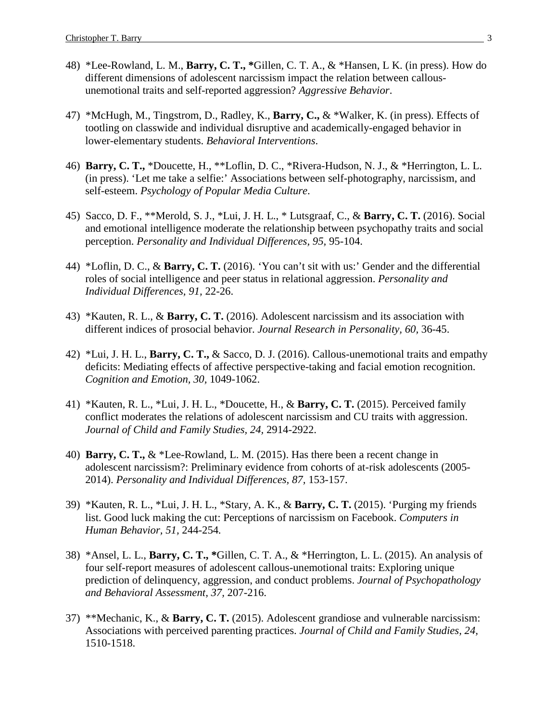- 48) \*Lee-Rowland, L. M., **Barry, C. T., \***Gillen, C. T. A., & \*Hansen, L K. (in press). How do different dimensions of adolescent narcissism impact the relation between callousunemotional traits and self-reported aggression? *Aggressive Behavior*.
- 47) \*McHugh, M., Tingstrom, D., Radley, K., **Barry, C.,** & \*Walker, K. (in press). Effects of tootling on classwide and individual disruptive and academically-engaged behavior in lower-elementary students. *Behavioral Interventions*.
- 46) **Barry, C. T.,** \*Doucette, H., \*\*Loflin, D. C., \*Rivera-Hudson, N. J., & \*Herrington, L. L. (in press). 'Let me take a selfie:' Associations between self-photography, narcissism, and self-esteem. *Psychology of Popular Media Culture*.
- 45) Sacco, D. F., \*\*Merold, S. J., \*Lui, J. H. L., \* Lutsgraaf, C., & **Barry, C. T.** (2016). Social and emotional intelligence moderate the relationship between psychopathy traits and social perception. *Personality and Individual Differences, 95,* 95-104.
- 44) \*Loflin, D. C., & **Barry, C. T.** (2016). 'You can't sit with us:' Gender and the differential roles of social intelligence and peer status in relational aggression. *Personality and Individual Differences, 91,* 22-26.
- 43) \*Kauten, R. L., & **Barry, C. T.** (2016). Adolescent narcissism and its association with different indices of prosocial behavior. *Journal Research in Personality, 60,* 36-45.
- 42) \*Lui, J. H. L., **Barry, C. T.,** & Sacco, D. J. (2016). Callous-unemotional traits and empathy deficits: Mediating effects of affective perspective-taking and facial emotion recognition. *Cognition and Emotion, 30,* 1049-1062.
- 41) \*Kauten, R. L., \*Lui, J. H. L., \*Doucette, H., & **Barry, C. T.** (2015). Perceived family conflict moderates the relations of adolescent narcissism and CU traits with aggression. *Journal of Child and Family Studies, 24,* 2914-2922.
- 40) **Barry, C. T.,** & \*Lee-Rowland, L. M. (2015). Has there been a recent change in adolescent narcissism?: Preliminary evidence from cohorts of at-risk adolescents (2005- 2014). *Personality and Individual Differences, 87,* 153-157.
- 39) \*Kauten, R. L., \*Lui, J. H. L., \*Stary, A. K., & **Barry, C. T.** (2015). 'Purging my friends list. Good luck making the cut: Perceptions of narcissism on Facebook. *Computers in Human Behavior, 51,* 244-254*.*
- 38) \*Ansel, L. L., **Barry, C. T., \***Gillen, C. T. A., & \*Herrington, L. L. (2015). An analysis of four self-report measures of adolescent callous-unemotional traits: Exploring unique prediction of delinquency, aggression, and conduct problems. *Journal of Psychopathology and Behavioral Assessment, 37,* 207-216.
- 37) \*\*Mechanic, K., & **Barry, C. T.** (2015). Adolescent grandiose and vulnerable narcissism: Associations with perceived parenting practices. *Journal of Child and Family Studies, 24,*  1510-1518.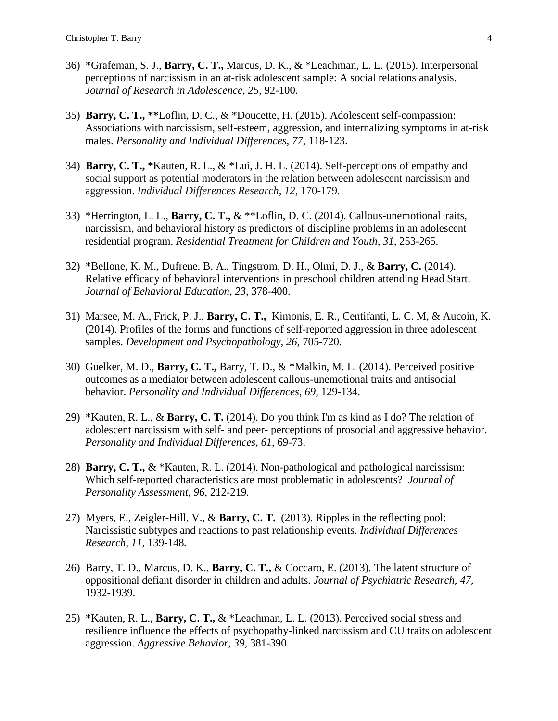- 36) \*Grafeman, S. J., **Barry, C. T.,** Marcus, D. K., & \*Leachman, L. L. (2015). Interpersonal perceptions of narcissism in an at-risk adolescent sample: A social relations analysis. *Journal of Research in Adolescence, 25,* 92-100.
- 35) **Barry, C. T., \*\***Loflin, D. C., & \*Doucette, H. (2015). Adolescent self-compassion: Associations with narcissism, self-esteem, aggression, and internalizing symptoms in at-risk males. *Personality and Individual Differences, 77,* 118-123.
- 34) **Barry, C. T., \***Kauten, R. L., & \*Lui, J. H. L. (2014). Self-perceptions of empathy and social support as potential moderators in the relation between adolescent narcissism and aggression. *Individual Differences Research, 12,* 170-179.
- 33) \*Herrington, L. L., **Barry, C. T.,** & \*\*Loflin, D. C. (2014). Callous-unemotional traits, narcissism, and behavioral history as predictors of discipline problems in an adolescent residential program. *Residential Treatment for Children and Youth, 31,* 253-265.
- 32) \*Bellone, K. M., Dufrene. B. A., Tingstrom, D. H., Olmi, D. J., & **Barry, C.** (2014). Relative efficacy of behavioral interventions in preschool children attending Head Start. *Journal of Behavioral Education, 23,* 378-400.
- 31) Marsee, M. A., Frick, P. J., **Barry, C. T.,** Kimonis, E. R., Centifanti, L. C. M, & Aucoin, K. (2014). Profiles of the forms and functions of self-reported aggression in three adolescent samples. *Development and Psychopathology, 26,* 705-720.
- 30) Guelker, M. D., **Barry, C. T.,** Barry, T. D., & \*Malkin, M. L. (2014). Perceived positive outcomes as a mediator between adolescent callous-unemotional traits and antisocial behavior. *Personality and Individual Differences, 69,* 129-134.
- 29) \*Kauten, R. L., & **Barry, C. T.** (2014). Do you think I'm as kind as I do? The relation of adolescent narcissism with self- and peer- perceptions of prosocial and aggressive behavior. *Personality and Individual Differences, 61,* 69-73.
- 28) **Barry, C. T.,** & \*Kauten, R. L. (2014). Non-pathological and pathological narcissism: Which self-reported characteristics are most problematic in adolescents? *Journal of Personality Assessment, 96,* 212-219*.*
- 27) Myers, E., Zeigler-Hill, V., & **Barry, C. T.** (2013). Ripples in the reflecting pool: Narcissistic subtypes and reactions to past relationship events. *Individual Differences Research, 11,* 139-148*.*
- 26) Barry, T. D., Marcus, D. K., **Barry, C. T.,** & Coccaro, E. (2013). The latent structure of oppositional defiant disorder in children and adults. *Journal of Psychiatric Research, 47,*  1932-1939.
- 25) \*Kauten, R. L., **Barry, C. T.,** & \*Leachman, L. L. (2013). Perceived social stress and resilience influence the effects of psychopathy-linked narcissism and CU traits on adolescent aggression. *Aggressive Behavior, 39,* 381-390.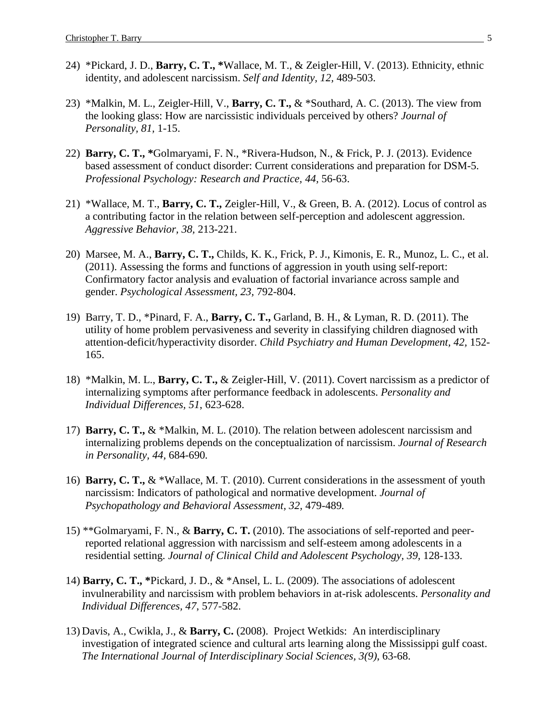- 24) \*Pickard, J. D., **Barry, C. T., \***Wallace, M. T., & Zeigler-Hill, V. (2013). Ethnicity, ethnic identity, and adolescent narcissism. *Self and Identity, 12,* 489-503.
- 23) \*Malkin, M. L., Zeigler-Hill, V., **Barry, C. T.,** & \*Southard, A. C. (2013). The view from the looking glass: How are narcissistic individuals perceived by others? *Journal of Personality, 81,* 1-15.
- 22) **Barry, C. T., \***Golmaryami, F. N., \*Rivera-Hudson, N., & Frick, P. J. (2013). Evidence based assessment of conduct disorder: Current considerations and preparation for DSM-5. *Professional Psychology: Research and Practice, 44,* 56-63.
- 21) \*Wallace, M. T., **Barry, C. T.,** Zeigler-Hill, V., & Green, B. A. (2012). Locus of control as a contributing factor in the relation between self-perception and adolescent aggression. *Aggressive Behavior, 38,* 213-221.
- 20) Marsee, M. A., **Barry, C. T.,** Childs, K. K., Frick, P. J., Kimonis, E. R., Munoz, L. C., et al. (2011). Assessing the forms and functions of aggression in youth using self-report: Confirmatory factor analysis and evaluation of factorial invariance across sample and gender. *Psychological Assessment, 23,* 792-804.
- 19) Barry, T. D., \*Pinard, F. A., **Barry, C. T.,** Garland, B. H., & Lyman, R. D. (2011). The utility of home problem pervasiveness and severity in classifying children diagnosed with attention-deficit/hyperactivity disorder. *Child Psychiatry and Human Development, 42,* 152- 165.
- 18) \*Malkin, M. L., **Barry, C. T.,** & Zeigler-Hill, V. (2011). Covert narcissism as a predictor of internalizing symptoms after performance feedback in adolescents. *Personality and Individual Differences, 51*, 623-628.
- 17) **Barry, C. T.,** & \*Malkin, M. L. (2010). The relation between adolescent narcissism and internalizing problems depends on the conceptualization of narcissism. *Journal of Research in Personality, 44,* 684-690*.*
- 16) **Barry, C. T.,** & \*Wallace, M. T. (2010). Current considerations in the assessment of youth narcissism: Indicators of pathological and normative development. *Journal of Psychopathology and Behavioral Assessment, 32,* 479-489*.*
- 15) \*\*Golmaryami, F. N., & **Barry, C. T.** (2010). The associations of self-reported and peerreported relational aggression with narcissism and self-esteem among adolescents in a residential setting. *Journal of Clinical Child and Adolescent Psychology, 39, 128-133.*
- 14) **Barry, C. T., \***Pickard, J. D., & \*Ansel, L. L. (2009). The associations of adolescent invulnerability and narcissism with problem behaviors in at-risk adolescents. *Personality and Individual Differences, 47*, 577-582.
- 13) Davis, A., Cwikla, J., & **Barry, C.** (2008). Project Wetkids: An interdisciplinary investigation of integrated science and cultural arts learning along the Mississippi gulf coast. *The International Journal of Interdisciplinary Social Sciences, 3(9)*, 63-68.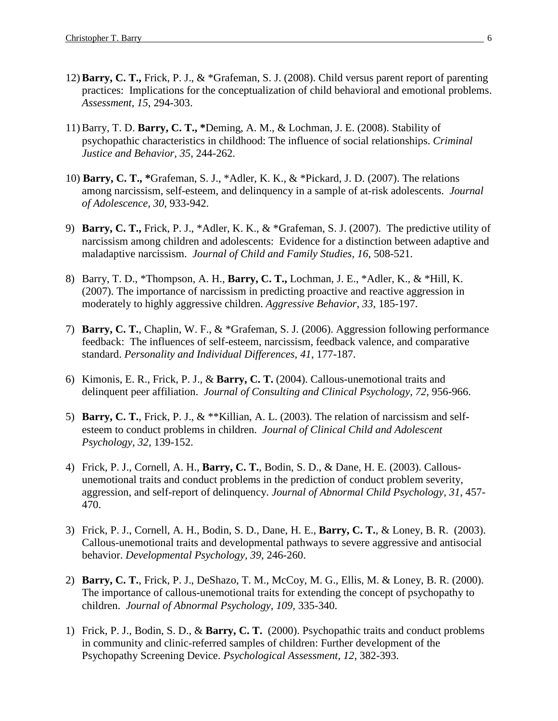- 12) **Barry, C. T.,** Frick, P. J., & \*Grafeman, S. J. (2008). Child versus parent report of parenting practices: Implications for the conceptualization of child behavioral and emotional problems. *Assessment, 15*, 294-303.
- 11) Barry, T. D. **Barry, C. T., \***Deming, A. M., & Lochman, J. E. (2008). Stability of psychopathic characteristics in childhood: The influence of social relationships. *Criminal Justice and Behavior, 35*, 244-262.
- 10) **Barry, C. T., \***Grafeman, S. J., \*Adler, K. K., & \*Pickard, J. D. (2007). The relations among narcissism, self-esteem, and delinquency in a sample of at-risk adolescents. *Journal of Adolescence, 30*, 933-942.
- 9) **Barry, C. T.,** Frick, P. J., \*Adler, K. K., & \*Grafeman, S. J. (2007). The predictive utility of narcissism among children and adolescents: Evidence for a distinction between adaptive and maladaptive narcissism. *Journal of Child and Family Studies, 16*, 508-521.
- 8) Barry, T. D., \*Thompson, A. H., **Barry, C. T.,** Lochman, J. E., \*Adler, K., & \*Hill, K. (2007). The importance of narcissism in predicting proactive and reactive aggression in moderately to highly aggressive children. *Aggressive Behavior, 33*, 185-197.
- 7) **Barry, C. T.**, Chaplin, W. F., & \*Grafeman, S. J. (2006). Aggression following performance feedback: The influences of self-esteem, narcissism, feedback valence, and comparative standard. *Personality and Individual Differences, 41*, 177-187.
- 6) Kimonis, E. R., Frick, P. J., & **Barry, C. T.** (2004). Callous-unemotional traits and delinquent peer affiliation. *Journal of Consulting and Clinical Psychology, 72,* 956-966.
- 5) **Barry, C. T.**, Frick, P. J., & \*\*Killian, A. L. (2003). The relation of narcissism and selfesteem to conduct problems in children. *Journal of Clinical Child and Adolescent Psychology, 32,* 139-152.
- 4) Frick, P. J., Cornell, A. H., **Barry, C. T.**, Bodin, S. D., & Dane, H. E. (2003). Callousunemotional traits and conduct problems in the prediction of conduct problem severity, aggression, and self-report of delinquency. *Journal of Abnormal Child Psychology, 31*, 457- 470.
- 3) Frick, P. J., Cornell, A. H., Bodin, S. D., Dane, H. E., **Barry, C. T.**, & Loney, B. R. (2003). Callous-unemotional traits and developmental pathways to severe aggressive and antisocial behavior. *Developmental Psychology, 39*, 246-260.
- 2) **Barry, C. T.**, Frick, P. J., DeShazo, T. M., McCoy, M. G., Ellis, M. & Loney, B. R. (2000). The importance of callous-unemotional traits for extending the concept of psychopathy to children. *Journal of Abnormal Psychology, 109,* 335-340.
- 1) Frick, P. J., Bodin, S. D., & **Barry, C. T.** (2000). Psychopathic traits and conduct problems in community and clinic-referred samples of children: Further development of the Psychopathy Screening Device. *Psychological Assessment, 12,* 382-393.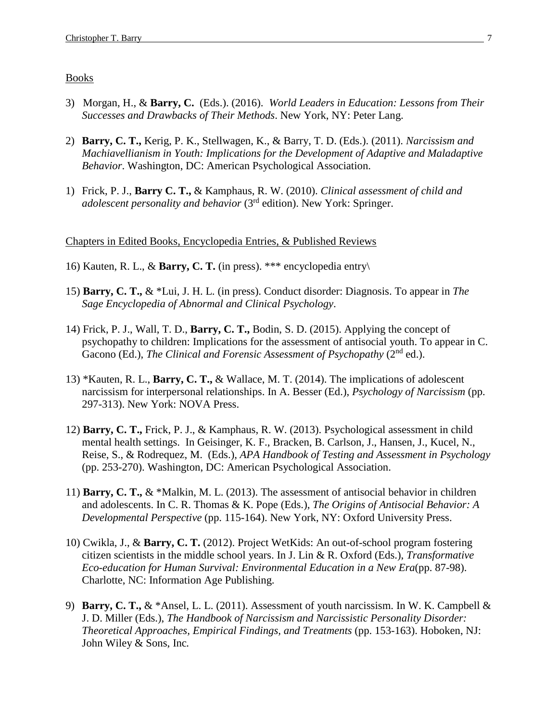#### Books

- 3) Morgan, H., & **Barry, C.** (Eds.). (2016). *World Leaders in Education: Lessons from Their Successes and Drawbacks of Their Methods*. New York, NY: Peter Lang.
- 2) **Barry, C. T.,** Kerig, P. K., Stellwagen, K., & Barry, T. D. (Eds.). (2011). *Narcissism and Machiavellianism in Youth: Implications for the Development of Adaptive and Maladaptive Behavior*. Washington, DC: American Psychological Association.
- 1) Frick, P. J., **Barry C. T.,** & Kamphaus, R. W. (2010). *Clinical assessment of child and adolescent personality and behavior* (3<sup>rd</sup> edition). New York: Springer.

#### Chapters in Edited Books, Encyclopedia Entries, & Published Reviews

- 16) Kauten, R. L., & **Barry, C. T.** (in press). \*\*\* encyclopedia entry\
- 15) **Barry, C. T.,** & \*Lui, J. H. L. (in press). Conduct disorder: Diagnosis. To appear in *The Sage Encyclopedia of Abnormal and Clinical Psychology*.
- 14) Frick, P. J., Wall, T. D., **Barry, C. T.,** Bodin, S. D. (2015). Applying the concept of psychopathy to children: Implications for the assessment of antisocial youth. To appear in C. Gacono (Ed.), *The Clinical and Forensic Assessment of Psychopathy* (2<sup>nd</sup> ed.).
- 13) \*Kauten, R. L., **Barry, C. T.,** & Wallace, M. T. (2014). The implications of adolescent narcissism for interpersonal relationships. In A. Besser (Ed.), *Psychology of Narcissism* (pp. 297-313). New York: NOVA Press.
- 12) **Barry, C. T.,** Frick, P. J., & Kamphaus, R. W. (2013). Psychological assessment in child mental health settings. In Geisinger, K. F., Bracken, B. Carlson, J., Hansen, J., Kucel, N., Reise, S., & Rodrequez, M. (Eds.), *APA Handbook of Testing and Assessment in Psychology* (pp. 253-270). Washington, DC: American Psychological Association.
- 11) **Barry, C. T.,** & \*Malkin, M. L. (2013). The assessment of antisocial behavior in children and adolescents. In C. R. Thomas & K. Pope (Eds.), *The Origins of Antisocial Behavior: A Developmental Perspective* (pp. 115-164). New York, NY: Oxford University Press.
- 10) Cwikla, J., & **Barry, C. T.** (2012). Project WetKids: An out-of-school program fostering citizen scientists in the middle school years. In J. Lin & R. Oxford (Eds.), *Transformative Eco-education for Human Survival: Environmental Education in a New Era*(pp. 87-98). Charlotte, NC: Information Age Publishing.
- 9) **Barry, C. T.,** & \*Ansel, L. L. (2011). Assessment of youth narcissism. In W. K. Campbell & J. D. Miller (Eds.), *The Handbook of Narcissism and Narcissistic Personality Disorder: Theoretical Approaches, Empirical Findings, and Treatments* (pp. 153-163). Hoboken, NJ: John Wiley & Sons, Inc*.*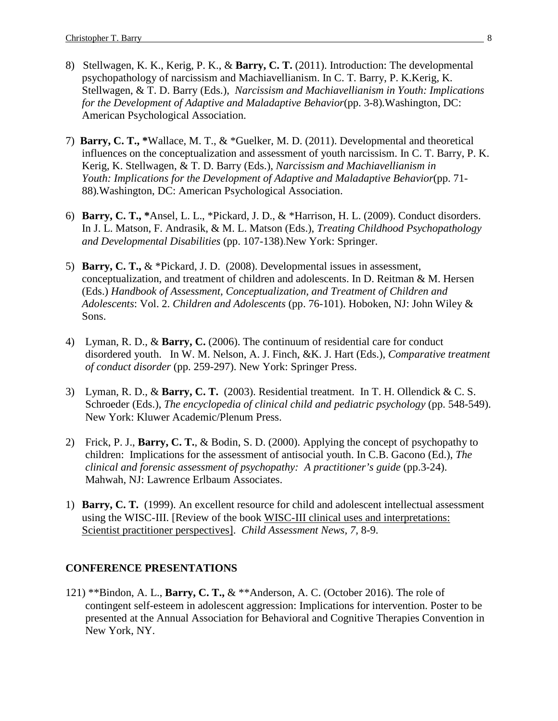- 8) Stellwagen, K. K., Kerig, P. K., & **Barry, C. T.** (2011). Introduction: The developmental psychopathology of narcissism and Machiavellianism. In C. T. Barry, P. K.Kerig, K. Stellwagen, & T. D. Barry (Eds.), *Narcissism and Machiavellianism in Youth: Implications for the Development of Adaptive and Maladaptive Behavior*(pp. 3-8)*.*Washington, DC: American Psychological Association.
- 7) **Barry, C. T., \***Wallace, M. T., & \*Guelker, M. D. (2011). Developmental and theoretical influences on the conceptualization and assessment of youth narcissism. In C. T. Barry, P. K. Kerig, K. Stellwagen, & T. D. Barry (Eds.), *Narcissism and Machiavellianism in Youth: Implications for the Development of Adaptive and Maladaptive Behavior*(pp. 71- 88)*.*Washington, DC: American Psychological Association.
- 6) **Barry, C. T., \***Ansel, L. L., \*Pickard, J. D., & \*Harrison, H. L. (2009). Conduct disorders. In J. L. Matson, F. Andrasik, & M. L. Matson (Eds.), *Treating Childhood Psychopathology and Developmental Disabilities* (pp. 107-138).New York: Springer.
- 5) **Barry, C. T.,** & \*Pickard, J. D. (2008). Developmental issues in assessment, conceptualization, and treatment of children and adolescents. In D. Reitman & M. Hersen (Eds.) *Handbook of Assessment, Conceptualization, and Treatment of Children and Adolescents*: Vol. 2. *Children and Adolescents* (pp. 76-101). Hoboken, NJ: John Wiley & Sons.
- 4) Lyman, R. D., & **Barry, C.** (2006). The continuum of residential care for conduct disordered youth. In W. M. Nelson, A. J. Finch, &K. J. Hart (Eds.), *Comparative treatment of conduct disorder* (pp. 259-297). New York: Springer Press.
- 3) Lyman, R. D., & **Barry, C. T.** (2003). Residential treatment. In T. H. Ollendick & C. S. Schroeder (Eds.), *The encyclopedia of clinical child and pediatric psychology* (pp. 548-549). New York: Kluwer Academic/Plenum Press.
- 2) Frick, P. J., **Barry, C. T.**, & Bodin, S. D. (2000). Applying the concept of psychopathy to children: Implications for the assessment of antisocial youth. In C.B. Gacono (Ed.), *The clinical and forensic assessment of psychopathy: A practitioner's guide* (pp.3-24). Mahwah, NJ: Lawrence Erlbaum Associates.
- 1) **Barry, C. T.** (1999). An excellent resource for child and adolescent intellectual assessment using the WISC-III. [Review of the book WISC-III clinical uses and interpretations: Scientist practitioner perspectives]. *Child Assessment News, 7,* 8-9.

#### **CONFERENCE PRESENTATIONS**

121) \*\*Bindon, A. L., **Barry, C. T.,** & \*\*Anderson, A. C. (October 2016). The role of contingent self-esteem in adolescent aggression: Implications for intervention. Poster to be presented at the Annual Association for Behavioral and Cognitive Therapies Convention in New York, NY.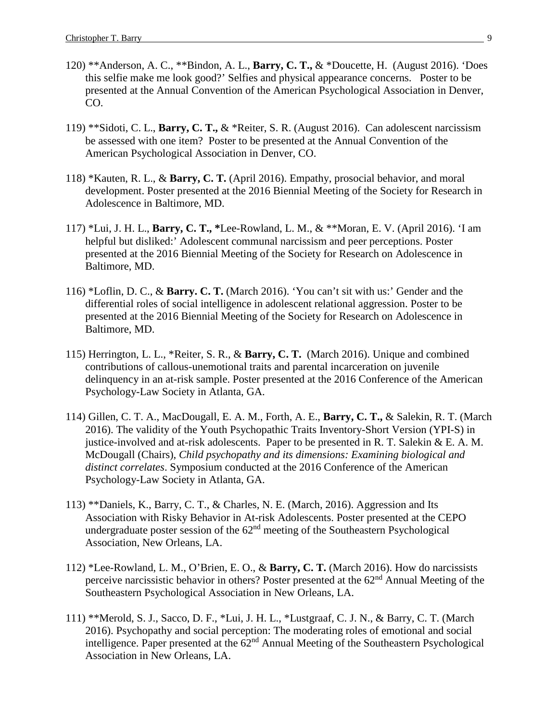- 120) \*\*Anderson, A. C., \*\*Bindon, A. L., **Barry, C. T.,** & \*Doucette, H. (August 2016). 'Does this selfie make me look good?' Selfies and physical appearance concerns. Poster to be presented at the Annual Convention of the American Psychological Association in Denver, CO.
- 119) \*\*Sidoti, C. L., **Barry, C. T.,** & \*Reiter, S. R. (August 2016). Can adolescent narcissism be assessed with one item? Poster to be presented at the Annual Convention of the American Psychological Association in Denver, CO.
- 118) \*Kauten, R. L., & **Barry, C. T.** (April 2016). Empathy, prosocial behavior, and moral development. Poster presented at the 2016 Biennial Meeting of the Society for Research in Adolescence in Baltimore, MD.
- 117) \*Lui, J. H. L., **Barry, C. T., \***Lee-Rowland, L. M., & \*\*Moran, E. V. (April 2016). 'I am helpful but disliked:' Adolescent communal narcissism and peer perceptions. Poster presented at the 2016 Biennial Meeting of the Society for Research on Adolescence in Baltimore, MD.
- 116) \*Loflin, D. C., & **Barry. C. T.** (March 2016). 'You can't sit with us:' Gender and the differential roles of social intelligence in adolescent relational aggression. Poster to be presented at the 2016 Biennial Meeting of the Society for Research on Adolescence in Baltimore, MD.
- 115) Herrington, L. L., \*Reiter, S. R., & **Barry, C. T.** (March 2016). Unique and combined contributions of callous-unemotional traits and parental incarceration on juvenile delinquency in an at-risk sample. Poster presented at the 2016 Conference of the American Psychology-Law Society in Atlanta, GA.
- 114) Gillen, C. T. A., MacDougall, E. A. M., Forth, A. E., **Barry, C. T.,** & Salekin, R. T. (March 2016). The validity of the Youth Psychopathic Traits Inventory-Short Version (YPI-S) in justice-involved and at-risk adolescents. Paper to be presented in R. T. Salekin & E. A. M. McDougall (Chairs), *Child psychopathy and its dimensions: Examining biological and distinct correlates*. Symposium conducted at the 2016 Conference of the American Psychology-Law Society in Atlanta, GA.
- 113) \*\*Daniels, K., Barry, C. T., & Charles, N. E. (March, 2016). Aggression and Its Association with Risky Behavior in At-risk Adolescents. Poster presented at the CEPO undergraduate poster session of the 62<sup>nd</sup> meeting of the Southeastern Psychological Association, New Orleans, LA.
- 112) \*Lee-Rowland, L. M., O'Brien, E. O., & **Barry, C. T.** (March 2016). How do narcissists perceive narcissistic behavior in others? Poster presented at the 62<sup>nd</sup> Annual Meeting of the Southeastern Psychological Association in New Orleans, LA.
- 111) \*\*Merold, S. J., Sacco, D. F., \*Lui, J. H. L., \*Lustgraaf, C. J. N., & Barry, C. T. (March 2016). Psychopathy and social perception: The moderating roles of emotional and social intelligence. Paper presented at the  $62<sup>nd</sup>$  Annual Meeting of the Southeastern Psychological Association in New Orleans, LA.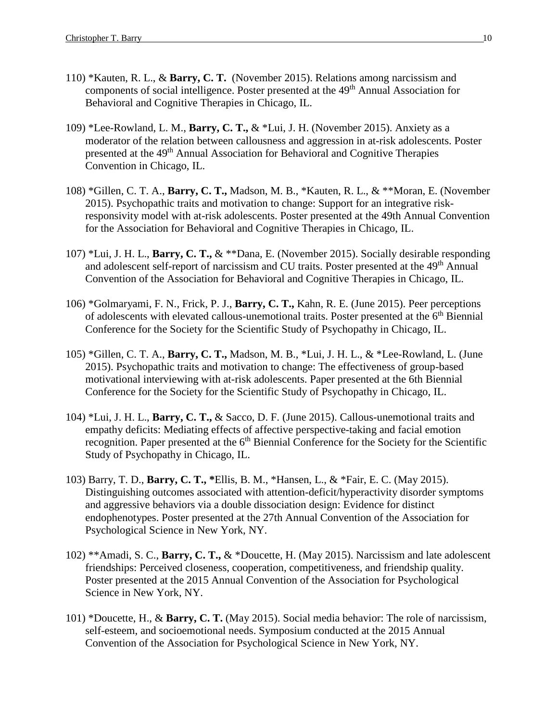- 110) \*Kauten, R. L., & **Barry, C. T.** (November 2015). Relations among narcissism and components of social intelligence. Poster presented at the 49<sup>th</sup> Annual Association for Behavioral and Cognitive Therapies in Chicago, IL.
- 109) \*Lee-Rowland, L. M., **Barry, C. T.,** & \*Lui, J. H. (November 2015). Anxiety as a moderator of the relation between callousness and aggression in at-risk adolescents. Poster presented at the 49<sup>th</sup> Annual Association for Behavioral and Cognitive Therapies Convention in Chicago, IL.
- 108) \*Gillen, C. T. A., **Barry, C. T.,** Madson, M. B., \*Kauten, R. L., & \*\*Moran, E. (November 2015). Psychopathic traits and motivation to change: Support for an integrative riskresponsivity model with at-risk adolescents. Poster presented at the 49th Annual Convention for the Association for Behavioral and Cognitive Therapies in Chicago, IL.
- 107) \*Lui, J. H. L., **Barry, C. T.,** & \*\*Dana, E. (November 2015). Socially desirable responding and adolescent self-report of narcissism and CU traits. Poster presented at the 49th Annual Convention of the Association for Behavioral and Cognitive Therapies in Chicago, IL.
- 106) \*Golmaryami, F. N., Frick, P. J., **Barry, C. T.,** Kahn, R. E. (June 2015). Peer perceptions of adolescents with elevated callous-unemotional traits. Poster presented at the 6<sup>th</sup> Biennial Conference for the Society for the Scientific Study of Psychopathy in Chicago, IL.
- 105) \*Gillen, C. T. A., **Barry, C. T.,** Madson, M. B., \*Lui, J. H. L., & \*Lee-Rowland, L. (June 2015). Psychopathic traits and motivation to change: The effectiveness of group-based motivational interviewing with at-risk adolescents. Paper presented at the 6th Biennial Conference for the Society for the Scientific Study of Psychopathy in Chicago, IL.
- 104) \*Lui, J. H. L., **Barry, C. T.,** & Sacco, D. F. (June 2015). Callous-unemotional traits and empathy deficits: Mediating effects of affective perspective-taking and facial emotion recognition. Paper presented at the 6<sup>th</sup> Biennial Conference for the Society for the Scientific Study of Psychopathy in Chicago, IL.
- 103) Barry, T. D., **Barry, C. T., \***Ellis, B. M., \*Hansen, L., & \*Fair, E. C. (May 2015). Distinguishing outcomes associated with attention-deficit/hyperactivity disorder symptoms and aggressive behaviors via a double dissociation design: Evidence for distinct endophenotypes. Poster presented at the 27th Annual Convention of the Association for Psychological Science in New York, NY.
- 102) \*\*Amadi, S. C., **Barry, C. T.,** & \*Doucette, H. (May 2015). Narcissism and late adolescent friendships: Perceived closeness, cooperation, competitiveness, and friendship quality. Poster presented at the 2015 Annual Convention of the Association for Psychological Science in New York, NY.
- 101) \*Doucette, H., & **Barry, C. T.** (May 2015). Social media behavior: The role of narcissism, self-esteem, and socioemotional needs. Symposium conducted at the 2015 Annual Convention of the Association for Psychological Science in New York, NY.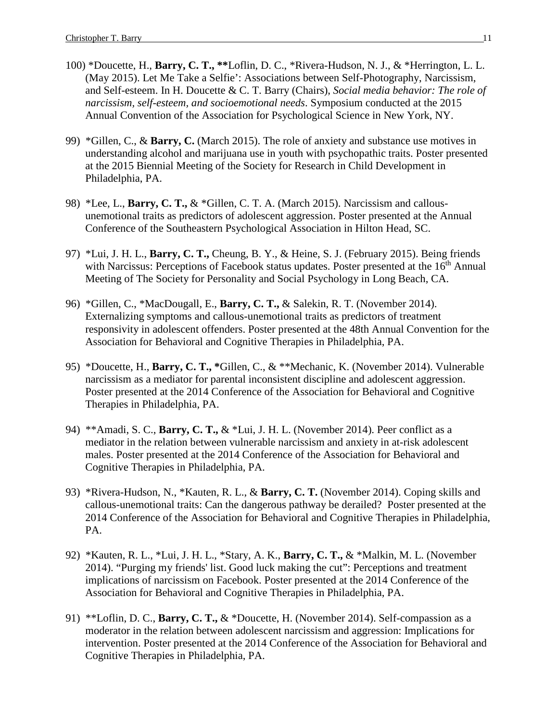- 100) \*Doucette, H., **Barry, C. T., \*\***Loflin, D. C., \*Rivera-Hudson, N. J., & \*Herrington, L. L. (May 2015). Let Me Take a Selfie': Associations between Self-Photography, Narcissism, and Self-esteem. In H. Doucette & C. T. Barry (Chairs), *Social media behavior: The role of narcissism, self-esteem, and socioemotional needs*. Symposium conducted at the 2015 Annual Convention of the Association for Psychological Science in New York, NY.
- 99) \*Gillen, C., & **Barry, C.** (March 2015). The role of anxiety and substance use motives in understanding alcohol and marijuana use in youth with psychopathic traits. Poster presented at the 2015 Biennial Meeting of the Society for Research in Child Development in Philadelphia, PA.
- 98) \*Lee, L., **Barry, C. T.,** & \*Gillen, C. T. A. (March 2015). Narcissism and callousunemotional traits as predictors of adolescent aggression. Poster presented at the Annual Conference of the Southeastern Psychological Association in Hilton Head, SC.
- 97) \*Lui, J. H. L., **Barry, C. T.,** Cheung, B. Y., & Heine, S. J. (February 2015). Being friends with Narcissus: Perceptions of Facebook status updates. Poster presented at the 16<sup>th</sup> Annual Meeting of The Society for Personality and Social Psychology in Long Beach, CA.
- 96) \*Gillen, C., \*MacDougall, E., **Barry, C. T.,** & Salekin, R. T. (November 2014). Externalizing symptoms and callous-unemotional traits as predictors of treatment responsivity in adolescent offenders. Poster presented at the 48th Annual Convention for the Association for Behavioral and Cognitive Therapies in Philadelphia, PA.
- 95) \*Doucette, H., **Barry, C. T., \***Gillen, C., & \*\*Mechanic, K. (November 2014). Vulnerable narcissism as a mediator for parental inconsistent discipline and adolescent aggression. Poster presented at the 2014 Conference of the Association for Behavioral and Cognitive Therapies in Philadelphia, PA.
- 94) \*\*Amadi, S. C., **Barry, C. T.,** & \*Lui, J. H. L. (November 2014). Peer conflict as a mediator in the relation between vulnerable narcissism and anxiety in at-risk adolescent males. Poster presented at the 2014 Conference of the Association for Behavioral and Cognitive Therapies in Philadelphia, PA.
- 93) \*Rivera-Hudson, N., \*Kauten, R. L., & **Barry, C. T.** (November 2014). Coping skills and callous-unemotional traits: Can the dangerous pathway be derailed? Poster presented at the 2014 Conference of the Association for Behavioral and Cognitive Therapies in Philadelphia, PA.
- 92) \*Kauten, R. L., \*Lui, J. H. L., \*Stary, A. K., **Barry, C. T.,** & \*Malkin, M. L. (November 2014). "Purging my friends' list. Good luck making the cut": Perceptions and treatment implications of narcissism on Facebook. Poster presented at the 2014 Conference of the Association for Behavioral and Cognitive Therapies in Philadelphia, PA.
- 91) \*\*Loflin, D. C., **Barry, C. T.,** & \*Doucette, H. (November 2014). Self-compassion as a moderator in the relation between adolescent narcissism and aggression: Implications for intervention. Poster presented at the 2014 Conference of the Association for Behavioral and Cognitive Therapies in Philadelphia, PA.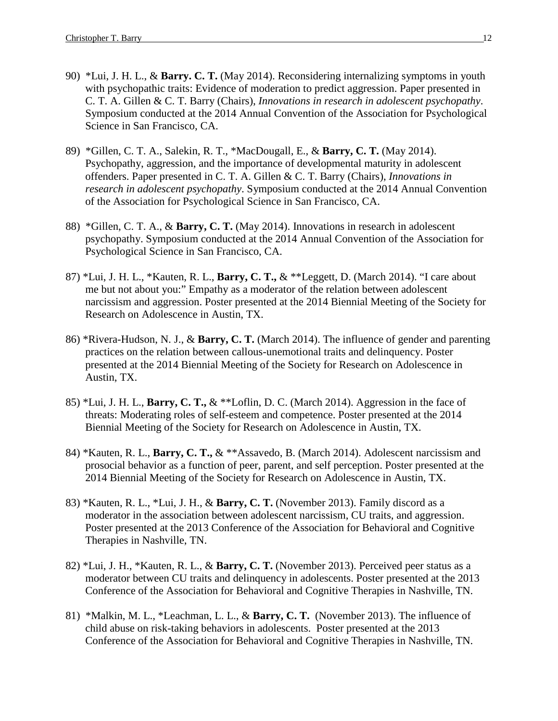- 90) \*Lui, J. H. L., & **Barry. C. T.** (May 2014). Reconsidering internalizing symptoms in youth with psychopathic traits: Evidence of moderation to predict aggression. Paper presented in C. T. A. Gillen & C. T. Barry (Chairs), *Innovations in research in adolescent psychopathy*. Symposium conducted at the 2014 Annual Convention of the Association for Psychological Science in San Francisco, CA.
- 89) \*Gillen, C. T. A., Salekin, R. T., \*MacDougall, E., & **Barry, C. T.** (May 2014). Psychopathy, aggression, and the importance of developmental maturity in adolescent offenders. Paper presented in C. T. A. Gillen & C. T. Barry (Chairs), *Innovations in research in adolescent psychopathy*. Symposium conducted at the 2014 Annual Convention of the Association for Psychological Science in San Francisco, CA.
- 88) \*Gillen, C. T. A., & **Barry, C. T.** (May 2014). Innovations in research in adolescent psychopathy. Symposium conducted at the 2014 Annual Convention of the Association for Psychological Science in San Francisco, CA.
- 87) \*Lui, J. H. L., \*Kauten, R. L., **Barry, C. T.,** & \*\*Leggett, D. (March 2014). "I care about me but not about you:" Empathy as a moderator of the relation between adolescent narcissism and aggression. Poster presented at the 2014 Biennial Meeting of the Society for Research on Adolescence in Austin, TX.
- 86) \*Rivera-Hudson, N. J., & **Barry, C. T.** (March 2014). The influence of gender and parenting practices on the relation between callous-unemotional traits and delinquency. Poster presented at the 2014 Biennial Meeting of the Society for Research on Adolescence in Austin, TX.
- 85) \*Lui, J. H. L., **Barry, C. T.,** & \*\*Loflin, D. C. (March 2014). Aggression in the face of threats: Moderating roles of self-esteem and competence. Poster presented at the 2014 Biennial Meeting of the Society for Research on Adolescence in Austin, TX.
- 84) \*Kauten, R. L., **Barry, C. T.,** & \*\*Assavedo, B. (March 2014). Adolescent narcissism and prosocial behavior as a function of peer, parent, and self perception. Poster presented at the 2014 Biennial Meeting of the Society for Research on Adolescence in Austin, TX.
- 83) \*Kauten, R. L., \*Lui, J. H., & **Barry, C. T.** (November 2013). Family discord as a moderator in the association between adolescent narcissism, CU traits, and aggression. Poster presented at the 2013 Conference of the Association for Behavioral and Cognitive Therapies in Nashville, TN.
- 82) \*Lui, J. H., \*Kauten, R. L., & **Barry, C. T.** (November 2013). Perceived peer status as a moderator between CU traits and delinquency in adolescents. Poster presented at the 2013 Conference of the Association for Behavioral and Cognitive Therapies in Nashville, TN.
- 81) \*Malkin, M. L., \*Leachman, L. L., & **Barry, C. T.** (November 2013). The influence of child abuse on risk-taking behaviors in adolescents. Poster presented at the 2013 Conference of the Association for Behavioral and Cognitive Therapies in Nashville, TN.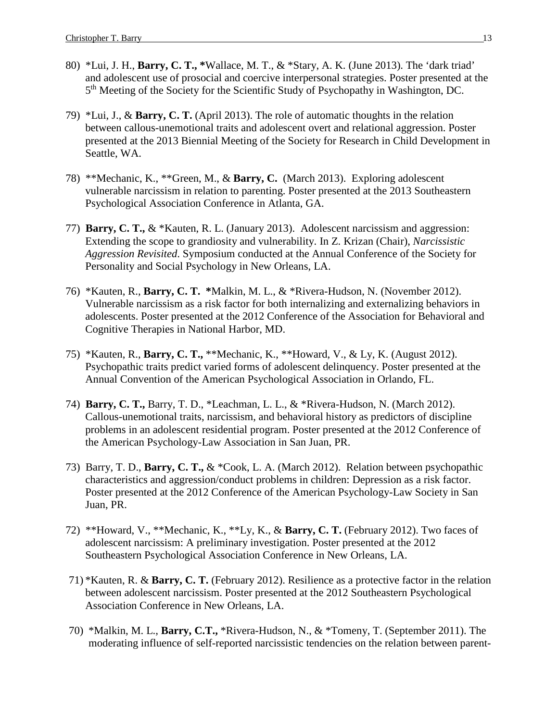- 80) \*Lui, J. H., **Barry, C. T., \***Wallace, M. T., & \*Stary, A. K. (June 2013). The 'dark triad' and adolescent use of prosocial and coercive interpersonal strategies. Poster presented at the 5th Meeting of the Society for the Scientific Study of Psychopathy in Washington, DC.
- 79) \*Lui, J., & **Barry, C. T.** (April 2013). The role of automatic thoughts in the relation between callous-unemotional traits and adolescent overt and relational aggression. Poster presented at the 2013 Biennial Meeting of the Society for Research in Child Development in Seattle, WA.
- 78) \*\*Mechanic, K., \*\*Green, M., & **Barry, C.** (March 2013). Exploring adolescent vulnerable narcissism in relation to parenting. Poster presented at the 2013 Southeastern Psychological Association Conference in Atlanta, GA.
- 77) **Barry, C. T.,** & \*Kauten, R. L. (January 2013). Adolescent narcissism and aggression: Extending the scope to grandiosity and vulnerability. In Z. Krizan (Chair), *Narcissistic Aggression Revisited*. Symposium conducted at the Annual Conference of the Society for Personality and Social Psychology in New Orleans, LA.
- 76) \*Kauten, R., **Barry, C. T. \***Malkin, M. L., & \*Rivera-Hudson, N. (November 2012). Vulnerable narcissism as a risk factor for both internalizing and externalizing behaviors in adolescents. Poster presented at the 2012 Conference of the Association for Behavioral and Cognitive Therapies in National Harbor, MD.
- 75) \*Kauten, R., **Barry, C. T.,** \*\*Mechanic, K., \*\*Howard, V., & Ly, K. (August 2012). Psychopathic traits predict varied forms of adolescent delinquency. Poster presented at the Annual Convention of the American Psychological Association in Orlando, FL.
- 74) **Barry, C. T.,** Barry, T. D., \*Leachman, L. L., & \*Rivera-Hudson, N. (March 2012). Callous-unemotional traits, narcissism, and behavioral history as predictors of discipline problems in an adolescent residential program. Poster presented at the 2012 Conference of the American Psychology-Law Association in San Juan, PR.
- 73) Barry, T. D., **Barry, C. T.,** & \*Cook, L. A. (March 2012). Relation between psychopathic characteristics and aggression/conduct problems in children: Depression as a risk factor. Poster presented at the 2012 Conference of the American Psychology-Law Society in San Juan, PR.
- 72) \*\*Howard, V., \*\*Mechanic, K., \*\*Ly, K., & **Barry, C. T.** (February 2012). Two faces of adolescent narcissism: A preliminary investigation. Poster presented at the 2012 Southeastern Psychological Association Conference in New Orleans, LA.
- 71) \*Kauten, R. & **Barry, C. T.** (February 2012). Resilience as a protective factor in the relation between adolescent narcissism. Poster presented at the 2012 Southeastern Psychological Association Conference in New Orleans, LA.
- 70) \*Malkin, M. L., **Barry, C.T.,** \*Rivera-Hudson, N., & \*Tomeny, T. (September 2011). The moderating influence of self-reported narcissistic tendencies on the relation between parent-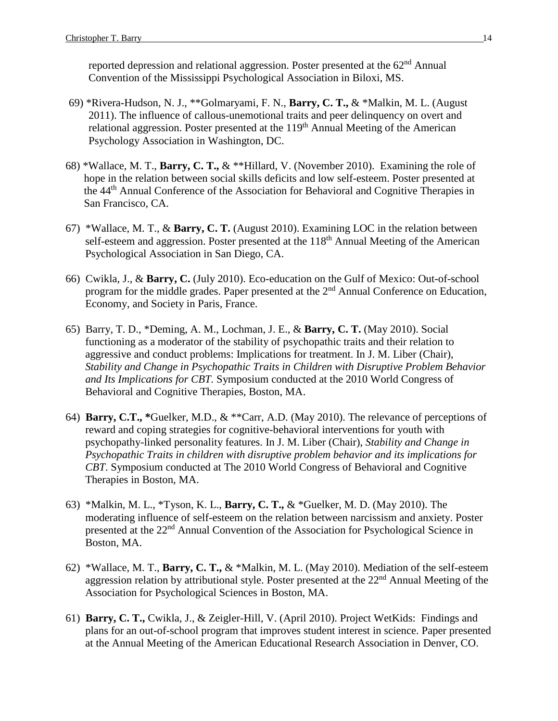reported depression and relational aggression. Poster presented at the  $62<sup>nd</sup>$  Annual Convention of the Mississippi Psychological Association in Biloxi, MS.

- 69) \*Rivera-Hudson, N. J., \*\*Golmaryami, F. N., **Barry, C. T.,** & \*Malkin, M. L. (August 2011). The influence of callous-unemotional traits and peer delinquency on overt and relational aggression. Poster presented at the  $119<sup>th</sup>$  Annual Meeting of the American Psychology Association in Washington, DC.
- 68) \*Wallace, M. T., **Barry, C. T.,** & \*\*Hillard, V. (November 2010). Examining the role of hope in the relation between social skills deficits and low self-esteem. Poster presented at the 44th Annual Conference of the Association for Behavioral and Cognitive Therapies in San Francisco, CA.
- 67) \*Wallace, M. T., & **Barry, C. T.** (August 2010). Examining LOC in the relation between self-esteem and aggression. Poster presented at the 118<sup>th</sup> Annual Meeting of the American Psychological Association in San Diego, CA.
- 66) Cwikla, J., & **Barry, C.** (July 2010). Eco-education on the Gulf of Mexico: Out-of-school program for the middle grades. Paper presented at the 2<sup>nd</sup> Annual Conference on Education, Economy, and Society in Paris, France.
- 65) Barry, T. D., \*Deming, A. M., Lochman, J. E., & **Barry, C. T.** (May 2010). Social functioning as a moderator of the stability of psychopathic traits and their relation to aggressive and conduct problems: Implications for treatment. In J. M. Liber (Chair), *Stability and Change in Psychopathic Traits in Children with Disruptive Problem Behavior and Its Implications for CBT.* Symposium conducted at the 2010 World Congress of Behavioral and Cognitive Therapies, Boston, MA.
- 64) **Barry, C.T., \***Guelker, M.D., & \*\*Carr, A.D. (May 2010). The relevance of perceptions of reward and coping strategies for cognitive-behavioral interventions for youth with psychopathy-linked personality features. In J. M. Liber (Chair), *Stability and Change in Psychopathic Traits in children with disruptive problem behavior and its implications for CBT*. Symposium conducted at The 2010 World Congress of Behavioral and Cognitive Therapies in Boston, MA.
- 63) \*Malkin, M. L., \*Tyson, K. L., **Barry, C. T.,** & \*Guelker, M. D. (May 2010). The moderating influence of self-esteem on the relation between narcissism and anxiety. Poster presented at the 22<sup>nd</sup> Annual Convention of the Association for Psychological Science in Boston, MA.
- 62) \*Wallace, M. T., **Barry, C. T.,** & \*Malkin, M. L. (May 2010). Mediation of the self-esteem aggression relation by attributional style. Poster presented at the 22<sup>nd</sup> Annual Meeting of the Association for Psychological Sciences in Boston, MA.
- 61) **Barry, C. T.,** Cwikla, J., & Zeigler-Hill, V. (April 2010). Project WetKids: Findings and plans for an out-of-school program that improves student interest in science. Paper presented at the Annual Meeting of the American Educational Research Association in Denver, CO.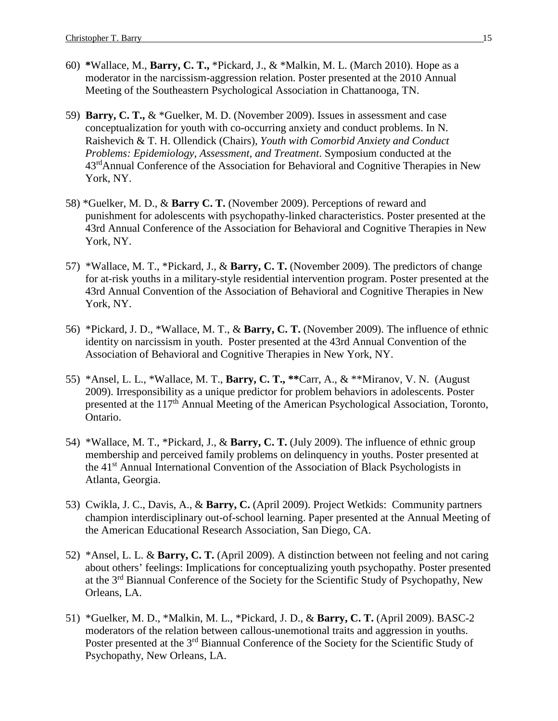- 60) **\***Wallace, M., **Barry, C. T.,** \*Pickard, J., & \*Malkin, M. L. (March 2010). Hope as a moderator in the narcissism-aggression relation. Poster presented at the 2010 Annual Meeting of the Southeastern Psychological Association in Chattanooga, TN.
- 59) **Barry, C. T.,** & \*Guelker, M. D. (November 2009). Issues in assessment and case conceptualization for youth with co-occurring anxiety and conduct problems. In N. Raishevich & T. H. Ollendick (Chairs), *Youth with Comorbid Anxiety and Conduct Problems: Epidemiology, Assessment, and Treatment*. Symposium conducted at the 43<sup>rd</sup>Annual Conference of the Association for Behavioral and Cognitive Therapies in New York, NY.
- 58) \*Guelker, M. D., & **Barry C. T.** (November 2009). Perceptions of reward and punishment for adolescents with psychopathy-linked characteristics. Poster presented at the 43rd Annual Conference of the Association for Behavioral and Cognitive Therapies in New York, NY.
- 57) \*Wallace, M. T., \*Pickard, J., & **Barry, C. T.** (November 2009). The predictors of change for at-risk youths in a military-style residential intervention program. Poster presented at the 43rd Annual Convention of the Association of Behavioral and Cognitive Therapies in New York, NY.
- 56) \*Pickard, J. D., \*Wallace, M. T., & **Barry, C. T.** (November 2009). The influence of ethnic identity on narcissism in youth. Poster presented at the 43rd Annual Convention of the Association of Behavioral and Cognitive Therapies in New York, NY.
- 55) \*Ansel, L. L., \*Wallace, M. T., **Barry, C. T., \*\***Carr, A., & \*\*Miranov, V. N. (August 2009). Irresponsibility as a unique predictor for problem behaviors in adolescents. Poster presented at the 117<sup>th</sup> Annual Meeting of the American Psychological Association, Toronto, Ontario.
- 54) \*Wallace, M. T., \*Pickard, J., & **Barry, C. T.** (July 2009). The influence of ethnic group membership and perceived family problems on delinquency in youths. Poster presented at the 41st Annual International Convention of the Association of Black Psychologists in Atlanta, Georgia.
- 53) Cwikla, J. C., Davis, A., & **Barry, C.** (April 2009). Project Wetkids: Community partners champion interdisciplinary out-of-school learning. Paper presented at the Annual Meeting of the American Educational Research Association, San Diego, CA.
- 52) \*Ansel, L. L. & **Barry, C. T.** (April 2009). A distinction between not feeling and not caring about others' feelings: Implications for conceptualizing youth psychopathy. Poster presented at the 3rd Biannual Conference of the Society for the Scientific Study of Psychopathy, New Orleans, LA.
- 51) \*Guelker, M. D., \*Malkin, M. L., \*Pickard, J. D., & **Barry, C. T.** (April 2009). BASC-2 moderators of the relation between callous-unemotional traits and aggression in youths. Poster presented at the 3<sup>rd</sup> Biannual Conference of the Society for the Scientific Study of Psychopathy, New Orleans, LA.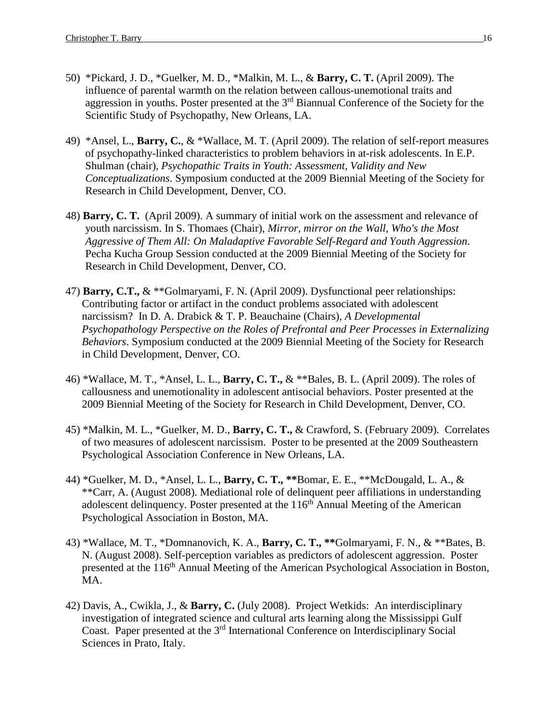- 50) \*Pickard, J. D., \*Guelker, M. D., \*Malkin, M. L., & **Barry, C. T.** (April 2009). The influence of parental warmth on the relation between callous-unemotional traits and aggression in youths. Poster presented at the 3<sup>rd</sup> Biannual Conference of the Society for the Scientific Study of Psychopathy, New Orleans, LA.
- 49) \*Ansel, L., **Barry, C.**, & \*Wallace, M. T. (April 2009). The relation of self-report measures of psychopathy-linked characteristics to problem behaviors in at-risk adolescents. In E.P. Shulman (chair), *Psychopathic Traits in Youth: Assessment, Validity and New Conceptualizations*. Symposium conducted at the 2009 Biennial Meeting of the Society for Research in Child Development, Denver, CO.
- 48) **Barry, C. T.** (April 2009). A summary of initial work on the assessment and relevance of youth narcissism. In S. Thomaes (Chair), *Mirror, mirror on the Wall, Who's the Most Aggressive of Them All: On Maladaptive Favorable Self-Regard and Youth Aggression*. Pecha Kucha Group Session conducted at the 2009 Biennial Meeting of the Society for Research in Child Development, Denver, CO.
- 47) **Barry, C.T.,** & \*\*Golmaryami, F. N. (April 2009). Dysfunctional peer relationships: Contributing factor or artifact in the conduct problems associated with adolescent narcissism? In D. A. Drabick & T. P. Beauchaine (Chairs), *A Developmental Psychopathology Perspective on the Roles of Prefrontal and Peer Processes in Externalizing Behaviors*. Symposium conducted at the 2009 Biennial Meeting of the Society for Research in Child Development, Denver, CO.
- 46) \*Wallace, M. T., \*Ansel, L. L., **Barry, C. T.,** & \*\*Bales, B. L. (April 2009). The roles of callousness and unemotionality in adolescent antisocial behaviors. Poster presented at the 2009 Biennial Meeting of the Society for Research in Child Development, Denver, CO.
- 45) \*Malkin, M. L., \*Guelker, M. D., **Barry, C. T.,** & Crawford, S. (February 2009). Correlates of two measures of adolescent narcissism. Poster to be presented at the 2009 Southeastern Psychological Association Conference in New Orleans, LA.
- 44) \*Guelker, M. D., \*Ansel, L. L., **Barry, C. T., \*\***Bomar, E. E., \*\*McDougald, L. A., & \*\*Carr, A. (August 2008). Mediational role of delinquent peer affiliations in understanding adolescent delinquency. Poster presented at the  $116<sup>th</sup>$  Annual Meeting of the American Psychological Association in Boston, MA.
- 43) \*Wallace, M. T., \*Domnanovich, K. A., **Barry, C. T., \*\***Golmaryami, F. N., & \*\*Bates, B. N. (August 2008). Self-perception variables as predictors of adolescent aggression. Poster presented at the 116<sup>th</sup> Annual Meeting of the American Psychological Association in Boston, MA.
- 42) Davis, A., Cwikla, J., & **Barry, C.** (July 2008). Project Wetkids: An interdisciplinary investigation of integrated science and cultural arts learning along the Mississippi Gulf Coast. Paper presented at the  $3<sup>rd</sup>$  International Conference on Interdisciplinary Social Sciences in Prato, Italy.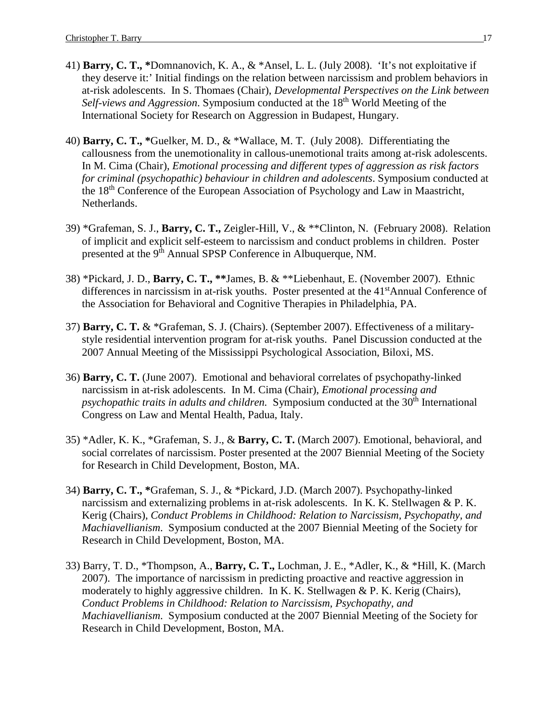- 41) **Barry, C. T., \***Domnanovich, K. A., & \*Ansel, L. L. (July 2008). 'It's not exploitative if they deserve it:' Initial findings on the relation between narcissism and problem behaviors in at-risk adolescents. In S. Thomaes (Chair), *Developmental Perspectives on the Link between*  Self-views and Aggression. Symposium conducted at the 18<sup>th</sup> World Meeting of the International Society for Research on Aggression in Budapest, Hungary.
- 40) **Barry, C. T., \***Guelker, M. D., & \*Wallace, M. T. (July 2008). Differentiating the callousness from the unemotionality in callous-unemotional traits among at-risk adolescents. In M. Cima (Chair), *Emotional processing and different types of aggression as risk factors for criminal (psychopathic) behaviour in children and adolescents*. Symposium conducted at the 18<sup>th</sup> Conference of the European Association of Psychology and Law in Maastricht, Netherlands.
- 39) \*Grafeman, S. J., **Barry, C. T.,** Zeigler-Hill, V., & \*\*Clinton, N. (February 2008). Relation of implicit and explicit self-esteem to narcissism and conduct problems in children. Poster presented at the 9<sup>th</sup> Annual SPSP Conference in Albuquerque, NM.
- 38) \*Pickard, J. D., **Barry, C. T., \*\***James, B. & \*\*Liebenhaut, E. (November 2007). Ethnic differences in narcissism in at-risk youths. Poster presented at the 41<sup>st</sup>Annual Conference of the Association for Behavioral and Cognitive Therapies in Philadelphia, PA.
- 37) **Barry, C. T.** & \*Grafeman, S. J. (Chairs). (September 2007). Effectiveness of a militarystyle residential intervention program for at-risk youths. Panel Discussion conducted at the 2007 Annual Meeting of the Mississippi Psychological Association, Biloxi, MS.
- 36) **Barry, C. T.** (June 2007). Emotional and behavioral correlates of psychopathy-linked narcissism in at-risk adolescents. In M. Cima (Chair), *Emotional processing and psychopathic traits in adults and children.* Symposium conducted at the 30<sup>th</sup> International Congress on Law and Mental Health, Padua, Italy.
- 35) \*Adler, K. K., \*Grafeman, S. J., & **Barry, C. T.** (March 2007). Emotional, behavioral, and social correlates of narcissism. Poster presented at the 2007 Biennial Meeting of the Society for Research in Child Development, Boston, MA.
- 34) **Barry, C. T., \***Grafeman, S. J., & \*Pickard, J.D. (March 2007). Psychopathy-linked narcissism and externalizing problems in at-risk adolescents. In K. K. Stellwagen & P. K. Kerig (Chairs), *Conduct Problems in Childhood: Relation to Narcissism, Psychopathy, and Machiavellianism*. Symposium conducted at the 2007 Biennial Meeting of the Society for Research in Child Development, Boston, MA.
- 33) Barry, T. D., \*Thompson, A., **Barry, C. T.,** Lochman, J. E., \*Adler, K., & \*Hill, K. (March 2007). The importance of narcissism in predicting proactive and reactive aggression in moderately to highly aggressive children. In K. K. Stellwagen & P. K. Kerig (Chairs), *Conduct Problems in Childhood: Relation to Narcissism, Psychopathy, and Machiavellianism*. Symposium conducted at the 2007 Biennial Meeting of the Society for Research in Child Development, Boston, MA.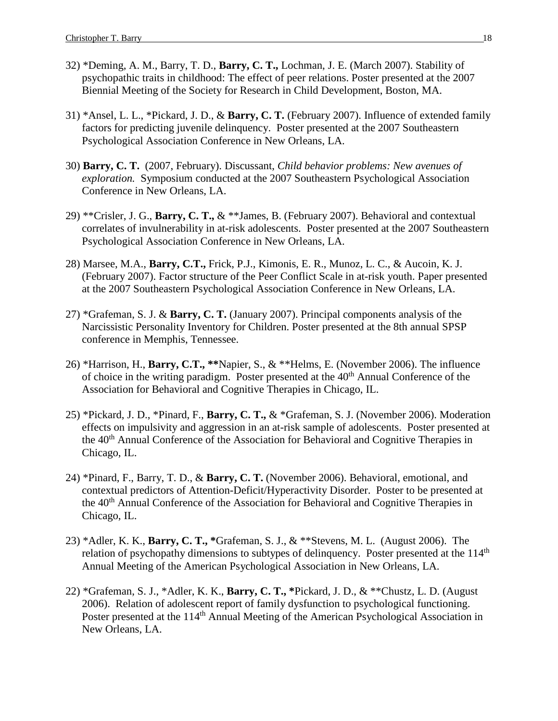- 32) \*Deming, A. M., Barry, T. D., **Barry, C. T.,** Lochman, J. E. (March 2007). Stability of psychopathic traits in childhood: The effect of peer relations. Poster presented at the 2007 Biennial Meeting of the Society for Research in Child Development, Boston, MA.
- 31) \*Ansel, L. L., \*Pickard, J. D., & **Barry, C. T.** (February 2007). Influence of extended family factors for predicting juvenile delinquency. Poster presented at the 2007 Southeastern Psychological Association Conference in New Orleans, LA.
- 30) **Barry, C. T.** (2007, February). Discussant, *Child behavior problems: New avenues of exploration.* Symposium conducted at the 2007 Southeastern Psychological Association Conference in New Orleans, LA.
- 29) \*\*Crisler, J. G., **Barry, C. T.,** & \*\*James, B. (February 2007). Behavioral and contextual correlates of invulnerability in at-risk adolescents. Poster presented at the 2007 Southeastern Psychological Association Conference in New Orleans, LA.
- 28) Marsee, M.A., **Barry, C.T.,** Frick, P.J., Kimonis, E. R., Munoz, L. C., & Aucoin, K. J. (February 2007). Factor structure of the Peer Conflict Scale in at-risk youth. Paper presented at the 2007 Southeastern Psychological Association Conference in New Orleans, LA.
- 27) \*Grafeman, S. J. & **Barry, C. T.** (January 2007). Principal components analysis of the Narcissistic Personality Inventory for Children. Poster presented at the 8th annual SPSP conference in Memphis, Tennessee.
- 26) \*Harrison, H., **Barry, C.T., \*\***Napier, S., & \*\*Helms, E. (November 2006). The influence of choice in the writing paradigm. Poster presented at the 40<sup>th</sup> Annual Conference of the Association for Behavioral and Cognitive Therapies in Chicago, IL.
- 25) \*Pickard, J. D., \*Pinard, F., **Barry, C. T.,** & \*Grafeman, S. J. (November 2006). Moderation effects on impulsivity and aggression in an at-risk sample of adolescents. Poster presented at the 40<sup>th</sup> Annual Conference of the Association for Behavioral and Cognitive Therapies in Chicago, IL.
- 24) \*Pinard, F., Barry, T. D., & **Barry, C. T.** (November 2006). Behavioral, emotional, and contextual predictors of Attention-Deficit/Hyperactivity Disorder. Poster to be presented at the 40<sup>th</sup> Annual Conference of the Association for Behavioral and Cognitive Therapies in Chicago, IL.
- 23) \*Adler, K. K., **Barry, C. T., \***Grafeman, S. J., & \*\*Stevens, M. L. (August 2006). The relation of psychopathy dimensions to subtypes of delinquency. Poster presented at the 114<sup>th</sup> Annual Meeting of the American Psychological Association in New Orleans, LA.
- 22) \*Grafeman, S. J., \*Adler, K. K., **Barry, C. T., \***Pickard, J. D., & \*\*Chustz, L. D. (August 2006). Relation of adolescent report of family dysfunction to psychological functioning. Poster presented at the 114<sup>th</sup> Annual Meeting of the American Psychological Association in New Orleans, LA.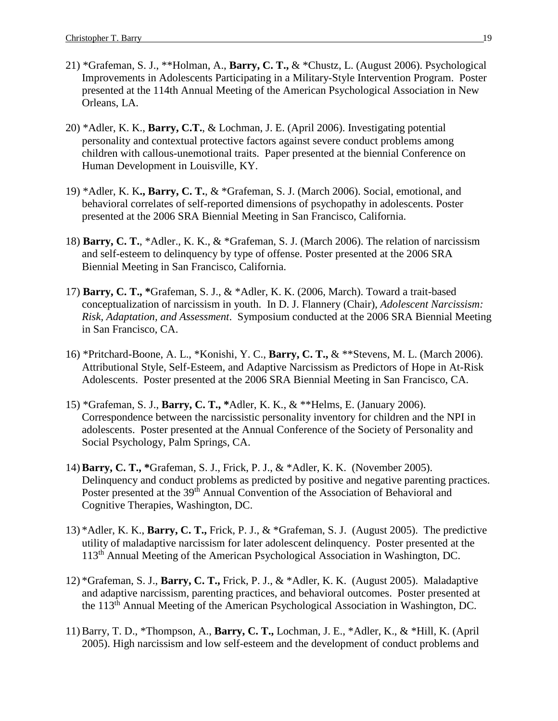- 21) \*Grafeman, S. J., \*\*Holman, A., **Barry, C. T.,** & \*Chustz, L. (August 2006). Psychological Improvements in Adolescents Participating in a Military-Style Intervention Program. Poster presented at the 114th Annual Meeting of the American Psychological Association in New Orleans, LA.
- 20) \*Adler, K. K., **Barry, C.T.**, & Lochman, J. E. (April 2006). Investigating potential personality and contextual protective factors against severe conduct problems among children with callous-unemotional traits. Paper presented at the biennial Conference on Human Development in Louisville, KY.
- 19) \*Adler, K. K**., Barry, C. T.**, & \*Grafeman, S. J. (March 2006). Social, emotional, and behavioral correlates of self-reported dimensions of psychopathy in adolescents. Poster presented at the 2006 SRA Biennial Meeting in San Francisco, California.
- 18) **Barry, C. T.**, \*Adler., K. K., & \*Grafeman, S. J. (March 2006). The relation of narcissism and self-esteem to delinquency by type of offense. Poster presented at the 2006 SRA Biennial Meeting in San Francisco, California.
- 17) **Barry, C. T., \***Grafeman, S. J., & \*Adler, K. K. (2006, March). Toward a trait-based conceptualization of narcissism in youth. In D. J. Flannery (Chair), *Adolescent Narcissism: Risk, Adaptation, and Assessment*. Symposium conducted at the 2006 SRA Biennial Meeting in San Francisco, CA.
- 16) \*Pritchard-Boone, A. L., \*Konishi, Y. C., **Barry, C. T.,** & \*\*Stevens, M. L. (March 2006). Attributional Style, Self-Esteem, and Adaptive Narcissism as Predictors of Hope in At-Risk Adolescents. Poster presented at the 2006 SRA Biennial Meeting in San Francisco, CA.
- 15) \*Grafeman, S. J., **Barry, C. T., \***Adler, K. K., & \*\*Helms, E. (January 2006). Correspondence between the narcissistic personality inventory for children and the NPI in adolescents. Poster presented at the Annual Conference of the Society of Personality and Social Psychology, Palm Springs, CA.
- 14) **Barry, C. T., \***Grafeman, S. J., Frick, P. J., & \*Adler, K. K. (November 2005). Delinquency and conduct problems as predicted by positive and negative parenting practices. Poster presented at the 39<sup>th</sup> Annual Convention of the Association of Behavioral and Cognitive Therapies, Washington, DC.
- 13) \*Adler, K. K., **Barry, C. T.,** Frick, P. J., & \*Grafeman, S. J. (August 2005). The predictive utility of maladaptive narcissism for later adolescent delinquency. Poster presented at the 113th Annual Meeting of the American Psychological Association in Washington, DC.
- 12) \*Grafeman, S. J., **Barry, C. T.,** Frick, P. J., & \*Adler, K. K. (August 2005). Maladaptive and adaptive narcissism, parenting practices, and behavioral outcomes. Poster presented at the 113th Annual Meeting of the American Psychological Association in Washington, DC.
- 11) Barry, T. D., \*Thompson, A., **Barry, C. T.,** Lochman, J. E., \*Adler, K., & \*Hill, K. (April 2005). High narcissism and low self-esteem and the development of conduct problems and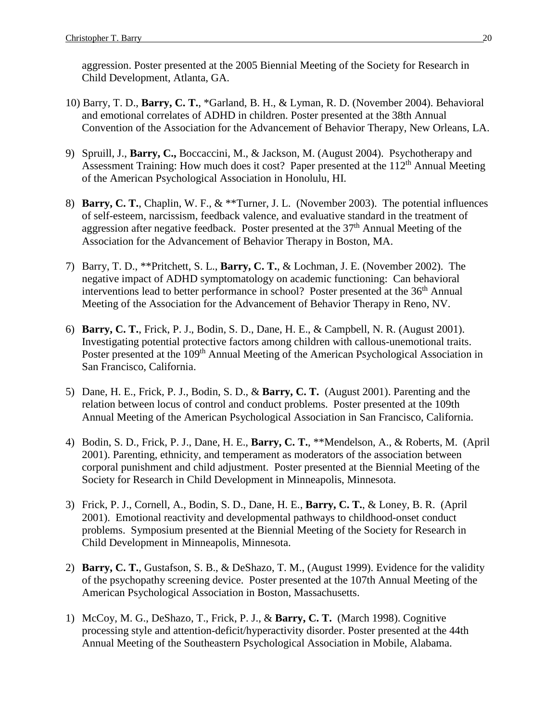aggression. Poster presented at the 2005 Biennial Meeting of the Society for Research in Child Development, Atlanta, GA.

- 10) Barry, T. D., **Barry, C. T.**, \*Garland, B. H., & Lyman, R. D. (November 2004). Behavioral and emotional correlates of ADHD in children. Poster presented at the 38th Annual Convention of the Association for the Advancement of Behavior Therapy, New Orleans, LA.
- 9) Spruill, J., **Barry, C.,** Boccaccini, M., & Jackson, M. (August 2004). Psychotherapy and Assessment Training: How much does it cost? Paper presented at the  $112<sup>th</sup>$  Annual Meeting of the American Psychological Association in Honolulu, HI.
- 8) **Barry, C. T.**, Chaplin, W. F., & \*\*Turner, J. L. (November 2003). The potential influences of self-esteem, narcissism, feedback valence, and evaluative standard in the treatment of aggression after negative feedback. Poster presented at the 37<sup>th</sup> Annual Meeting of the Association for the Advancement of Behavior Therapy in Boston, MA.
- 7) Barry, T. D., \*\*Pritchett, S. L., **Barry, C. T.**, & Lochman, J. E. (November 2002). The negative impact of ADHD symptomatology on academic functioning: Can behavioral interventions lead to better performance in school? Poster presented at the  $36<sup>th</sup>$  Annual Meeting of the Association for the Advancement of Behavior Therapy in Reno, NV.
- 6) **Barry, C. T.**, Frick, P. J., Bodin, S. D., Dane, H. E., & Campbell, N. R. (August 2001). Investigating potential protective factors among children with callous-unemotional traits. Poster presented at the 109<sup>th</sup> Annual Meeting of the American Psychological Association in San Francisco, California.
- 5) Dane, H. E., Frick, P. J., Bodin, S. D., & **Barry, C. T.** (August 2001). Parenting and the relation between locus of control and conduct problems. Poster presented at the 109th Annual Meeting of the American Psychological Association in San Francisco, California.
- 4) Bodin, S. D., Frick, P. J., Dane, H. E., **Barry, C. T.**, \*\*Mendelson, A., & Roberts, M. (April 2001). Parenting, ethnicity, and temperament as moderators of the association between corporal punishment and child adjustment. Poster presented at the Biennial Meeting of the Society for Research in Child Development in Minneapolis, Minnesota.
- 3) Frick, P. J., Cornell, A., Bodin, S. D., Dane, H. E., **Barry, C. T.**, & Loney, B. R. (April 2001). Emotional reactivity and developmental pathways to childhood-onset conduct problems. Symposium presented at the Biennial Meeting of the Society for Research in Child Development in Minneapolis, Minnesota.
- 2) **Barry, C. T.**, Gustafson, S. B., & DeShazo, T. M., (August 1999). Evidence for the validity of the psychopathy screening device. Poster presented at the 107th Annual Meeting of the American Psychological Association in Boston, Massachusetts.
- 1) McCoy, M. G., DeShazo, T., Frick, P. J., & **Barry, C. T.** (March 1998). Cognitive processing style and attention-deficit/hyperactivity disorder. Poster presented at the 44th Annual Meeting of the Southeastern Psychological Association in Mobile, Alabama.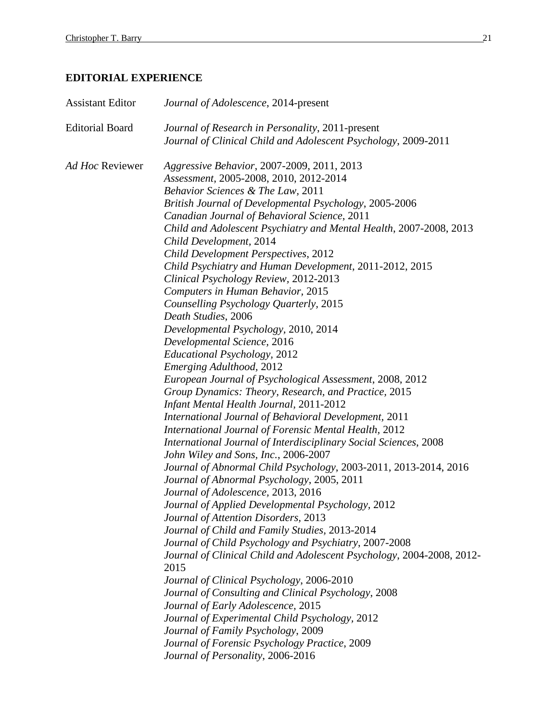# **EDITORIAL EXPERIENCE**

| <b>Assistant Editor</b> | Journal of Adolescence, 2014-present                                                                                           |
|-------------------------|--------------------------------------------------------------------------------------------------------------------------------|
| <b>Editorial Board</b>  | Journal of Research in Personality, 2011-present                                                                               |
|                         | Journal of Clinical Child and Adolescent Psychology, 2009-2011                                                                 |
| Ad Hoc Reviewer         | Aggressive Behavior, 2007-2009, 2011, 2013                                                                                     |
|                         | Assessment, 2005-2008, 2010, 2012-2014                                                                                         |
|                         | Behavior Sciences & The Law, 2011                                                                                              |
|                         | British Journal of Developmental Psychology, 2005-2006                                                                         |
|                         | Canadian Journal of Behavioral Science, 2011                                                                                   |
|                         | Child and Adolescent Psychiatry and Mental Health, 2007-2008, 2013                                                             |
|                         | Child Development, 2014                                                                                                        |
|                         | Child Development Perspectives, 2012                                                                                           |
|                         | Child Psychiatry and Human Development, 2011-2012, 2015                                                                        |
|                         | Clinical Psychology Review, 2012-2013                                                                                          |
|                         | Computers in Human Behavior, 2015                                                                                              |
|                         | Counselling Psychology Quarterly, 2015                                                                                         |
|                         | Death Studies, 2006                                                                                                            |
|                         | Developmental Psychology, 2010, 2014                                                                                           |
|                         | Developmental Science, 2016                                                                                                    |
|                         | <b>Educational Psychology</b> , 2012                                                                                           |
|                         | Emerging Adulthood, 2012                                                                                                       |
|                         | European Journal of Psychological Assessment, 2008, 2012                                                                       |
|                         | Group Dynamics: Theory, Research, and Practice, 2015                                                                           |
|                         | Infant Mental Health Journal, 2011-2012                                                                                        |
|                         | <b>International Journal of Behavioral Development, 2011</b>                                                                   |
|                         | International Journal of Forensic Mental Health, 2012                                                                          |
|                         | International Journal of Interdisciplinary Social Sciences, 2008                                                               |
|                         | John Wiley and Sons, Inc., 2006-2007                                                                                           |
|                         | Journal of Abnormal Child Psychology, 2003-2011, 2013-2014, 2016                                                               |
|                         | Journal of Abnormal Psychology, 2005, 2011                                                                                     |
|                         | Journal of Adolescence, 2013, 2016                                                                                             |
|                         | Journal of Applied Developmental Psychology, 2012                                                                              |
|                         | Journal of Attention Disorders, 2013<br>Journal of Child and Family Studies, 2013-2014                                         |
|                         |                                                                                                                                |
|                         | Journal of Child Psychology and Psychiatry, 2007-2008<br>Journal of Clinical Child and Adolescent Psychology, 2004-2008, 2012- |
|                         | 2015                                                                                                                           |
|                         | Journal of Clinical Psychology, 2006-2010                                                                                      |
|                         | Journal of Consulting and Clinical Psychology, 2008                                                                            |
|                         | Journal of Early Adolescence, 2015                                                                                             |
|                         | Journal of Experimental Child Psychology, 2012                                                                                 |
|                         | Journal of Family Psychology, 2009                                                                                             |
|                         | Journal of Forensic Psychology Practice, 2009                                                                                  |
|                         | Journal of Personality, 2006-2016                                                                                              |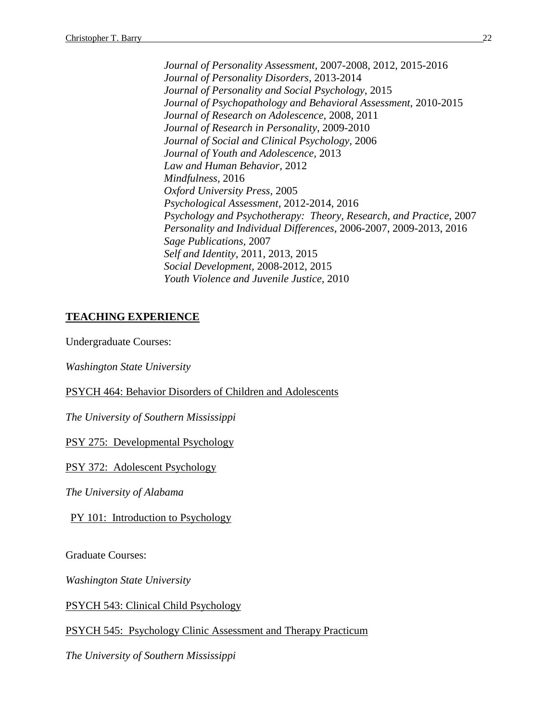*Journal of Personality Assessment*, 2007-2008, 2012, 2015-2016 *Journal of Personality Disorders,* 2013-2014 *Journal of Personality and Social Psychology*, 2015 *Journal of Psychopathology and Behavioral Assessment*, 2010-2015 *Journal of Research on Adolescence*, 2008, 2011 *Journal of Research in Personality*, 2009-2010 *Journal of Social and Clinical Psychology*, 2006 *Journal of Youth and Adolescence,* 2013 *Law and Human Behavior*, 2012 *Mindfulness,* 2016 *Oxford University Press,* 2005 *Psychological Assessment,* 2012-2014, 2016 *Psychology and Psychotherapy: Theory, Research, and Practice*, 2007 *Personality and Individual Differences*, 2006-2007, 2009-2013, 2016 *Sage Publications,* 2007 *Self and Identity,* 2011, 2013, 2015 *Social Development,* 2008-2012, 2015 *Youth Violence and Juvenile Justice,* 2010

# **TEACHING EXPERIENCE**

Undergraduate Courses:

*Washington State University*

PSYCH 464: Behavior Disorders of Children and Adolescents

*The University of Southern Mississippi*

PSY 275: Developmental Psychology

PSY 372: Adolescent Psychology

*The University of Alabama*

PY 101: Introduction to Psychology

Graduate Courses:

*Washington State University*

PSYCH 543: Clinical Child Psychology

PSYCH 545: Psychology Clinic Assessment and Therapy Practicum

*The University of Southern Mississippi*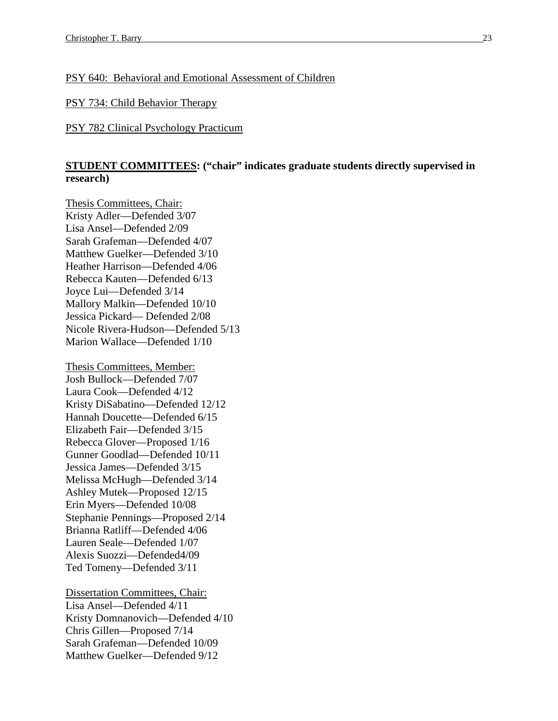## PSY 640: Behavioral and Emotional Assessment of Children

## PSY 734: Child Behavior Therapy

### PSY 782 Clinical Psychology Practicum

# **STUDENT COMMITTEES: ("chair" indicates graduate students directly supervised in research)**

Thesis Committees, Chair: Kristy Adler—Defended 3/07 Lisa Ansel—Defended 2/09 Sarah Grafeman—Defended 4/07 Matthew Guelker—Defended 3/10 Heather Harrison—Defended 4/06 Rebecca Kauten—Defended 6/13 Joyce Lui—Defended 3/14 Mallory Malkin—Defended 10/10 Jessica Pickard— Defended 2/08 Nicole Rivera-Hudson—Defended 5/13 Marion Wallace—Defended 1/10

Thesis Committees, Member: Josh Bullock—Defended 7/07 Laura Cook—Defended 4/12 Kristy DiSabatino—Defended 12/12 Hannah Doucette—Defended 6/15 Elizabeth Fair—Defended 3/15 Rebecca Glover—Proposed 1/16 Gunner Goodlad—Defended 10/11 Jessica James—Defended 3/15 Melissa McHugh—Defended 3/14 Ashley Mutek—Proposed 12/15 Erin Myers—Defended 10/08 Stephanie Pennings—Proposed 2/14 Brianna Ratliff—Defended 4/06 Lauren Seale—Defended 1/07 Alexis Suozzi—Defended4/09 Ted Tomeny—Defended 3/11

Dissertation Committees, Chair: Lisa Ansel—Defended 4/11 Kristy Domnanovich—Defended 4/10 Chris Gillen—Proposed 7/14 Sarah Grafeman—Defended 10/09 Matthew Guelker—Defended 9/12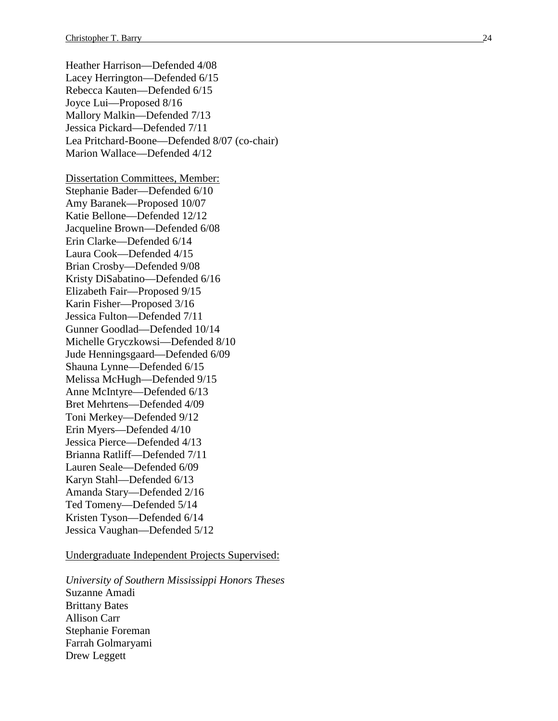Heather Harrison —Defended 4/08 Lacey Herrington —Defended 6/15 Rebecca Kauten —Defended 6/15 Joyce Lui —Proposed 8/16 Mallory Malkin —Defended 7/13 Jessica Pickard —Defended 7/11 Lea Pritchard -Boone —Defended 8/07 (co -chair) Marion Wallac e —Defended 4/12 Dissertation Committees, Member: Stephanie Bader—Defended 6/10 Amy Baranek—Proposed 10/07 Katie Bellone —Defended 12/12 Jacqueline Brown —Defended 6/08 Erin Clarke —Defended 6/14 Laura Cook—Defended 4/15 Brian Crosby —Defended 9/08 Kristy DiSabatino —Defended 6/16 Elizabeth Fair—Proposed 9/15 Karin Fisher—Proposed 3/16 Jessica Fulton —Defended 7/11 Gunner Goodlad —Defended 10/14 Michelle Gryczkowsi —Defended 8/10 Jude Henningsgaard —Defended 6/09 Shauna Lynne —Defended 6/15 Melissa McHugh —Defended 9/15 Anne McIntyre —Defended 6/13 Bret Mehrtens —Defended 4/09 Toni Merkey —Defended 9/12 Erin Myers —Defended 4/10 Jessica Pierce —Defended 4/13 Brianna Ratliff—Defended 7/11 Lauren Seale —Defended 6/09 Karyn Stahl —Defended 6/13 Amanda Stary —Defended 2/16 Ted Tomeny —Defended 5/14 Kristen Tyson —Defended 6/14 Jessica Vaughan —Defended 5/12

Undergraduate Independent Projects Supervised:

*University of Southern Mississippi Honors Theses* Suzanne Amadi Brittany Bates Allison Carr Stephanie Foreman Farrah Golmaryami Drew Leggett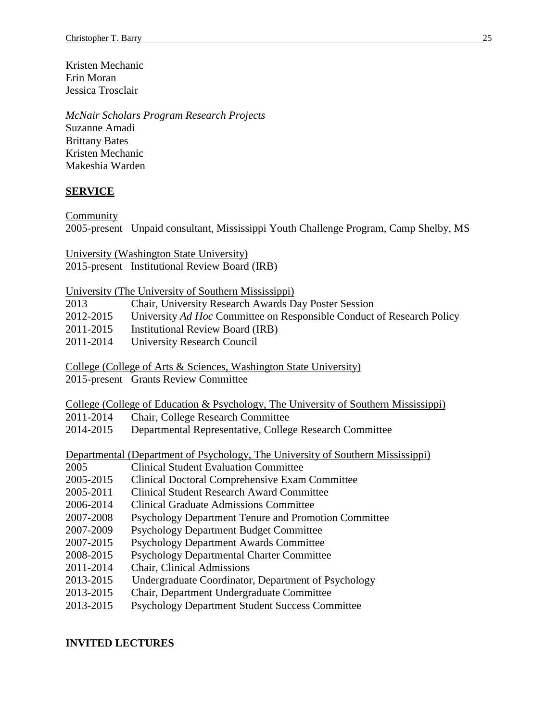Kristen Mechanic Erin Moran Jessica Trosclair

*McNair Scholars Program Research Projects* Suzanne Amadi Brittany Bates Kristen Mechanic Makeshia Warden

## **SERVICE**

Community

2005-present Unpaid consultant, Mississippi Youth Challenge Program, Camp Shelby, MS

University (Washington State University) 2015-present Institutional Review Board (IRB)

University (The University of Southern Mississippi)

| 2013      | Chair, University Research Awards Day Poster Session                  |
|-----------|-----------------------------------------------------------------------|
| 2012-2015 | University Ad Hoc Committee on Responsible Conduct of Research Policy |
| 2011-2015 | <b>Institutional Review Board (IRB)</b>                               |
| 2011-2014 | University Research Council                                           |

College (College of Arts & Sciences, Washington State University)

2015-present Grants Review Committee

College (College of Education & Psychology, The University of Southern Mississippi) 2011-2014 Chair, College Research Committee 2014-2015 Departmental Representative, College Research Committee

Departmental (Department of Psychology, The University of Southern Mississippi)

- 2005 Clinical Student Evaluation Committee
- 2005-2015 Clinical Doctoral Comprehensive Exam Committee
- 2005-2011 Clinical Student Research Award Committee
- 2006-2014 Clinical Graduate Admissions Committee
- 2007-2008 Psychology Department Tenure and Promotion Committee
- 2007-2009 Psychology Department Budget Committee
- 2007-2015 Psychology Department Awards Committee
- 2008-2015 Psychology Departmental Charter Committee
- 2011-2014 Chair, Clinical Admissions
- 2013-2015 Undergraduate Coordinator, Department of Psychology
- 2013-2015 Chair, Department Undergraduate Committee
- 2013-2015 Psychology Department Student Success Committee

## **INVITED LECTURES**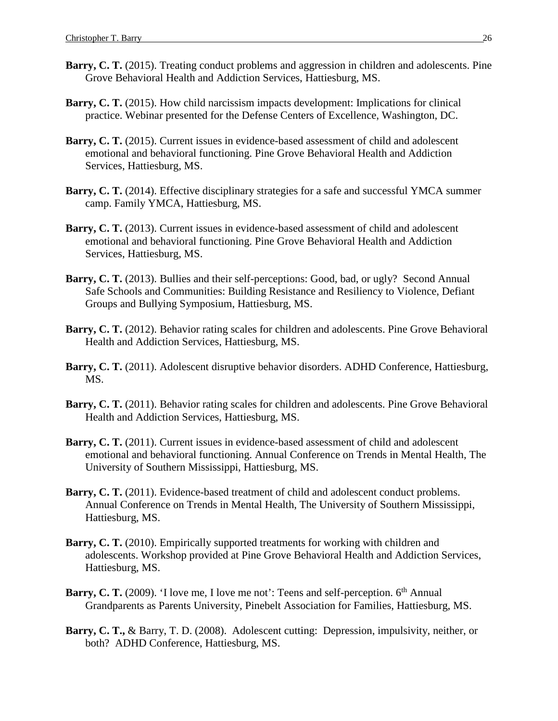- **Barry, C. T.** (2015). Treating conduct problems and aggression in children and adolescents. Pine Grove Behavioral Health and Addiction Services, Hattiesburg, MS.
- **Barry, C. T.** (2015). How child narcissism impacts development: Implications for clinical practice. Webinar presented for the Defense Centers of Excellence, Washington, DC.
- Barry, C. T. (2015). Current issues in evidence-based assessment of child and adolescent emotional and behavioral functioning. Pine Grove Behavioral Health and Addiction Services, Hattiesburg, MS.
- **Barry, C. T.** (2014). Effective disciplinary strategies for a safe and successful YMCA summer camp. Family YMCA, Hattiesburg, MS.
- Barry, C. T. (2013). Current issues in evidence-based assessment of child and adolescent emotional and behavioral functioning. Pine Grove Behavioral Health and Addiction Services, Hattiesburg, MS.
- Barry, C. T. (2013). Bullies and their self-perceptions: Good, bad, or ugly? Second Annual Safe Schools and Communities: Building Resistance and Resiliency to Violence, Defiant Groups and Bullying Symposium, Hattiesburg, MS.
- **Barry, C. T.** (2012). Behavior rating scales for children and adolescents. Pine Grove Behavioral Health and Addiction Services, Hattiesburg, MS.
- **Barry, C. T.** (2011). Adolescent disruptive behavior disorders. ADHD Conference, Hattiesburg, MS.
- Barry, C. T. (2011). Behavior rating scales for children and adolescents. Pine Grove Behavioral Health and Addiction Services, Hattiesburg, MS.
- **Barry, C. T.** (2011). Current issues in evidence-based assessment of child and adolescent emotional and behavioral functioning. Annual Conference on Trends in Mental Health, The University of Southern Mississippi, Hattiesburg, MS.
- Barry, C. T. (2011). Evidence-based treatment of child and adolescent conduct problems. Annual Conference on Trends in Mental Health, The University of Southern Mississippi, Hattiesburg, MS.
- Barry, C. T. (2010). Empirically supported treatments for working with children and adolescents. Workshop provided at Pine Grove Behavioral Health and Addiction Services, Hattiesburg, MS.
- **Barry, C. T.** (2009). 'I love me, I love me not': Teens and self-perception. 6<sup>th</sup> Annual Grandparents as Parents University, Pinebelt Association for Families, Hattiesburg, MS.
- **Barry, C. T.,** & Barry, T. D. (2008). Adolescent cutting: Depression, impulsivity, neither, or both? ADHD Conference, Hattiesburg, MS.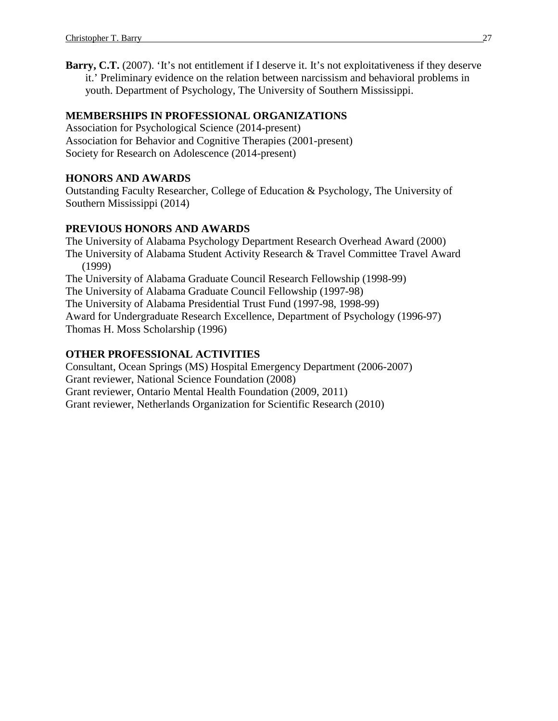**Barry, C.T.** (2007). 'It's not entitlement if I deserve it. It's not exploitativeness if they deserve it.' Preliminary evidence on the relation between narcissism and behavioral problems in youth. Department of Psychology, The University of Southern Mississippi.

# **MEMBERSHIPS IN PROFESSIONAL ORGANIZATIONS**

Association for Psychological Science (2014-present) Association for Behavior and Cognitive Therapies (2001-present) Society for Research on Adolescence (2014-present)

# **HONORS AND AWARDS**

Outstanding Faculty Researcher, College of Education & Psychology, The University of Southern Mississippi (2014)

# **PREVIOUS HONORS AND AWARDS**

The University of Alabama Psychology Department Research Overhead Award (2000) The University of Alabama Student Activity Research & Travel Committee Travel Award (1999) The University of Alabama Graduate Council Research Fellowship (1998-99) The University of Alabama Graduate Council Fellowship (1997-98) The University of Alabama Presidential Trust Fund (1997-98, 1998-99) Award for Undergraduate Research Excellence, Department of Psychology (1996-97) Thomas H. Moss Scholarship (1996)

# **OTHER PROFESSIONAL ACTIVITIES**

Consultant, Ocean Springs (MS) Hospital Emergency Department (2006-2007) Grant reviewer, National Science Foundation (2008) Grant reviewer, Ontario Mental Health Foundation (2009, 2011) Grant reviewer, Netherlands Organization for Scientific Research (2010)